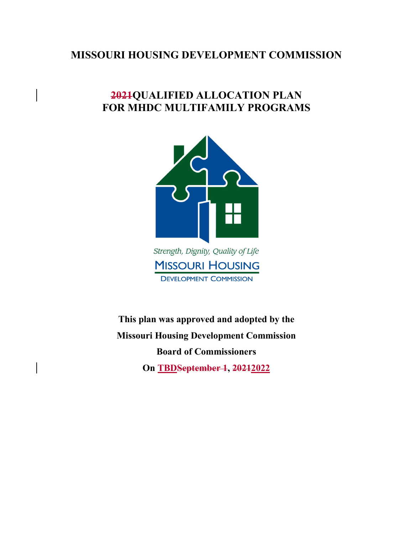# **MISSOURI HOUSING DEVELOPMENT COMMISSION**

# **2021QUALIFIED ALLOCATION PLAN FOR MHDC MULTIFAMILY PROGRAMS**



**This plan was approved and adopted by the**

**DEVELOPMENT COMMISSION** 

**Missouri Housing Development Commission Board of Commissioners On TBDSeptember 1, 20212022**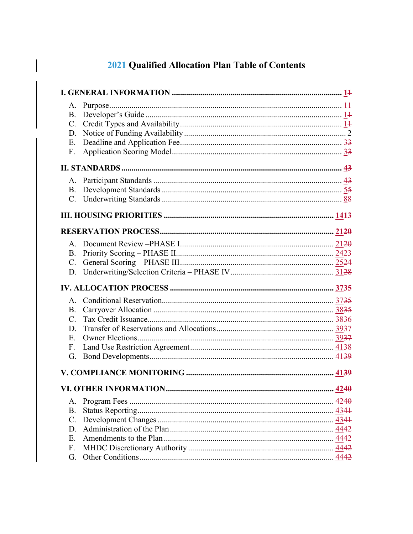# 2021 Qualified Allocation Plan Table of Contents

| $\mathbf{C}$ . |  |
|----------------|--|
| D.             |  |
| Ε.             |  |
| F.             |  |
|                |  |
|                |  |
| B.             |  |
|                |  |
|                |  |
|                |  |
|                |  |
| B.             |  |
| $C_{\cdot}$    |  |
|                |  |
|                |  |
| $A_{1}$        |  |
| <b>B.</b>      |  |
| $C_{\cdot}$    |  |
| D.             |  |
| Ε.             |  |
| F.             |  |
| G.             |  |
|                |  |
|                |  |
| A.             |  |
| <b>B.</b>      |  |
| C.             |  |
| D.             |  |
|                |  |
| Ε.             |  |
| F.             |  |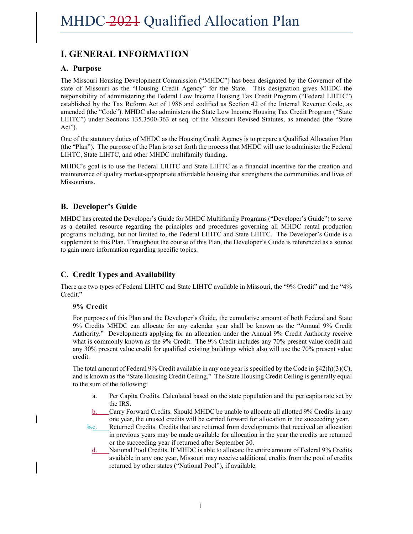# **I. GENERAL INFORMATION**

### **A. Purpose**

The Missouri Housing Development Commission ("MHDC") has been designated by the Governor of the state of Missouri as the "Housing Credit Agency" for the State. This designation gives MHDC the responsibility of administering the Federal Low Income Housing Tax Credit Program ("Federal LIHTC") established by the Tax Reform Act of 1986 and codified as Section 42 of the Internal Revenue Code, as amended (the "Code"). MHDC also administers the State Low Income Housing Tax Credit Program ("State LIHTC") under Sections 135.3500-363 et seq. of the Missouri Revised Statutes, as amended (the "State Act").

One of the statutory duties of MHDC as the Housing Credit Agency is to prepare a Qualified Allocation Plan (the "Plan"). The purpose of the Plan is to set forth the process that MHDC will use to administer the Federal LIHTC, State LIHTC, and other MHDC multifamily funding.

MHDC's goal is to use the Federal LIHTC and State LIHTC as a financial incentive for the creation and maintenance of quality market-appropriate affordable housing that strengthens the communities and lives of Missourians.

### **B. Developer's Guide**

MHDC has created the Developer's Guide for MHDC Multifamily Programs ("Developer's Guide") to serve as a detailed resource regarding the principles and procedures governing all MHDC rental production programs including, but not limited to, the Federal LIHTC and State LIHTC. The Developer's Guide is a supplement to this Plan. Throughout the course of this Plan, the Developer's Guide is referenced as a source to gain more information regarding specific topics.

# **C. Credit Types and Availability**

There are two types of Federal LIHTC and State LIHTC available in Missouri, the "9% Credit" and the "4% Credit."

### **9% Credit**

For purposes of this Plan and the Developer's Guide, the cumulative amount of both Federal and State 9% Credits MHDC can allocate for any calendar year shall be known as the "Annual 9% Credit Authority." Developments applying for an allocation under the Annual 9% Credit Authority receive what is commonly known as the 9% Credit. The 9% Credit includes any 70% present value credit and any 30% present value credit for qualified existing buildings which also will use the 70% present value credit.

The total amount of Federal 9% Credit available in any one year is specified by the Code in  $\frac{842(h)(3)(C)}{2}$ , and is known as the "State Housing Credit Ceiling." The State Housing Credit Ceiling is generally equal to the sum of the following:

- a. Per Capita Credits. Calculated based on the state population and the per capita rate set by the IRS.
- b. Carry Forward Credits. Should MHDC be unable to allocate all allotted 9% Credits in any one year, the unused credits will be carried forward for allocation in the succeeding year.
- b.c. Returned Credits. Credits that are returned from developments that received an allocation in previous years may be made available for allocation in the year the credits are returned or the succeeding year if returned after September 30.
- d. National Pool Credits. If MHDC is able to allocate the entire amount of Federal 9% Credits available in any one year, Missouri may receive additional credits from the pool of credits returned by other states ("National Pool"), if available.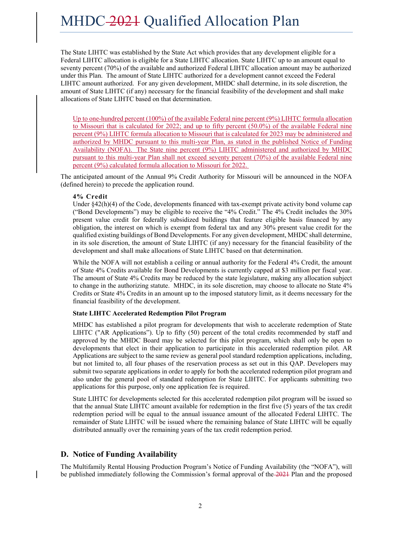The State LIHTC was established by the State Act which provides that any development eligible for a Federal LIHTC allocation is eligible for a State LIHTC allocation. State LIHTC up to an amount equal to seventy percent (70%) of the available and authorized Federal LIHTC allocation amount may be authorized under this Plan. The amount of State LIHTC authorized for a development cannot exceed the Federal LIHTC amount authorized. For any given development, MHDC shall determine, in its sole discretion, the amount of State LIHTC (if any) necessary for the financial feasibility of the development and shall make allocations of State LIHTC based on that determination.

Up to one-hundred percent (100%) of the available Federal nine percent (9%) LIHTC formula allocation to Missouri that is calculated for 2022; and up to fifty percent (50.0%) of the available Federal nine percent (9%) LIHTC formula allocation to Missouri that is calculated for 2023 may be administered and authorized by MHDC pursuant to this multi-year Plan, as stated in the published Notice of Funding Availability (NOFA). The State nine percent (9%) LIHTC administered and authorized by MHDC pursuant to this multi-year Plan shall not exceed seventy percent (70%) of the available Federal nine percent (9%) calculated formula allocation to Missouri for 2022.

The anticipated amount of the Annual 9% Credit Authority for Missouri will be announced in the NOFA (defined herein) to precede the application round.

#### **4% Credit**

Under §42(h)(4) of the Code, developments financed with tax-exempt private activity bond volume cap ("Bond Developments") may be eligible to receive the "4% Credit." The 4% Credit includes the 30% present value credit for federally subsidized buildings that feature eligible basis financed by any obligation, the interest on which is exempt from federal tax and any 30% present value credit for the qualified existing buildings of Bond Developments. For any given development, MHDC shall determine, in its sole discretion, the amount of State LIHTC (if any) necessary for the financial feasibility of the development and shall make allocations of State LIHTC based on that determination.

While the NOFA will not establish a ceiling or annual authority for the Federal 4% Credit, the amount of State 4% Credits available for Bond Developments is currently capped at \$3 million per fiscal year. The amount of State 4% Credits may be reduced by the state legislature, making any allocation subject to change in the authorizing statute. MHDC, in its sole discretion, may choose to allocate no State 4% Credits or State 4% Credits in an amount up to the imposed statutory limit, as it deems necessary for the financial feasibility of the development.

#### **State LIHTC Accelerated Redemption Pilot Program**

MHDC has established a pilot program for developments that wish to accelerate redemption of State LIHTC ("AR Applications"). Up to fifty (50) percent of the total credits recommended by staff and approved by the MHDC Board may be selected for this pilot program, which shall only be open to developments that elect in their application to participate in this accelerated redemption pilot. AR Applications are subject to the same review as general pool standard redemption applications, including, but not limited to, all four phases of the reservation process as set out in this QAP. Developers may submit two separate applications in order to apply for both the accelerated redemption pilot program and also under the general pool of standard redemption for State LIHTC. For applicants submitting two applications for this purpose, only one application fee is required.

State LIHTC for developments selected for this accelerated redemption pilot program will be issued so that the annual State LIHTC amount available for redemption in the first five (5) years of the tax credit redemption period will be equal to the annual issuance amount of the allocated Federal LIHTC. The remainder of State LIHTC will be issued where the remaining balance of State LIHTC will be equally distributed annually over the remaining years of the tax credit redemption period.

### **D. Notice of Funding Availability**

The Multifamily Rental Housing Production Program's Notice of Funding Availability (the "NOFA"), will be published immediately following the Commission's formal approval of the 2021 Plan and the proposed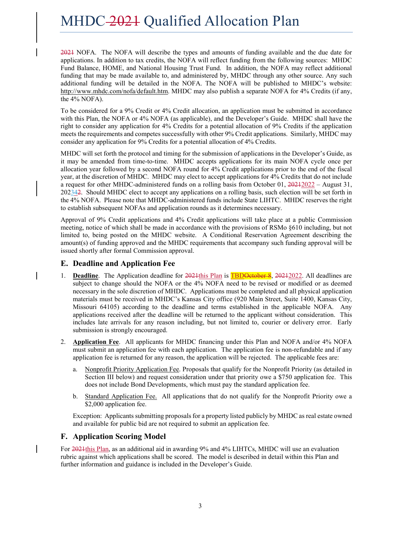2021 NOFA. The NOFA will describe the types and amounts of funding available and the due date for applications. In addition to tax credits, the NOFA will reflect funding from the following sources: MHDC Fund Balance, HOME, and National Housing Trust Fund. In addition, the NOFA may reflect additional funding that may be made available to, and administered by, MHDC through any other source. Any such additional funding will be detailed in the NOFA. The NOFA will be published to MHDC's website: http://www.mhdc.com/nofa/default.htm. MHDC may also publish a separate NOFA for 4% Credits (if any, the 4% NOFA).

To be considered for a 9% Credit or 4% Credit allocation, an application must be submitted in accordance with this Plan, the NOFA or 4% NOFA (as applicable), and the Developer's Guide. MHDC shall have the right to consider any application for 4% Credits for a potential allocation of 9% Credits if the application meets the requirements and competes successfully with other 9% Credit applications. Similarly, MHDC may consider any application for 9% Credits for a potential allocation of 4% Credits.

MHDC will set forth the protocol and timing for the submission of applications in the Developer's Guide, as it may be amended from time-to-time. MHDC accepts applications for its main NOFA cycle once per allocation year followed by a second NOFA round for 4% Credit applications prior to the end of the fiscal year, at the discretion of MHDC. MHDC may elect to accept applications for 4% Credits that do not include a request for other MHDC-administered funds on a rolling basis from October 01,  $20212022 -$  August 31, 202342. Should MHDC elect to accept any applications on a rolling basis, such election will be set forth in the 4% NOFA. Please note that MHDC-administered funds include State LIHTC. MHDC reserves the right to establish subsequent NOFAs and application rounds as it determines necessary.

Approval of 9% Credit applications and 4% Credit applications will take place at a public Commission meeting, notice of which shall be made in accordance with the provisions of RSMo §610 including, but not limited to, being posted on the MHDC website. A Conditional Reservation Agreement describing the amount(s) of funding approved and the MHDC requirements that accompany such funding approval will be issued shortly after formal Commission approval.

### **E. Deadline and Application Fee**

- 1. **Deadline**. The Application deadline for 2021 this Plan is **TBDOetober 8**, 2021 2022. All deadlines are subject to change should the NOFA or the 4% NOFA need to be revised or modified or as deemed necessary in the sole discretion of MHDC. Applications must be completed and all physical application materials must be received in MHDC's Kansas City office (920 Main Street, Suite 1400, Kansas City, Missouri 64105) according to the deadline and terms established in the applicable NOFA. Any applications received after the deadline will be returned to the applicant without consideration. This includes late arrivals for any reason including, but not limited to, courier or delivery error. Early submission is strongly encouraged.
- 2. **Application Fee**. All applicants for MHDC financing under this Plan and NOFA and/or 4% NOFA must submit an application fee with each application. The application fee is non-refundable and if any application fee is returned for any reason, the application will be rejected. The applicable fees are:
	- a. Nonprofit Priority Application Fee. Proposals that qualify for the Nonprofit Priority (as detailed in Section III below) and request consideration under that priority owe a \$750 application fee. This does not include Bond Developments, which must pay the standard application fee.
	- b. Standard Application Fee. All applications that do not qualify for the Nonprofit Priority owe a \$2,000 application fee.

Exception: Applicants submitting proposals for a property listed publicly by MHDC as real estate owned and available for public bid are not required to submit an application fee.

### **F. Application Scoring Model**

For 2021this Plan, as an additional aid in awarding 9% and 4% LIHTCs, MHDC will use an evaluation rubric against which applications shall be scored. The model is described in detail within this Plan and further information and guidance is included in the Developer's Guide.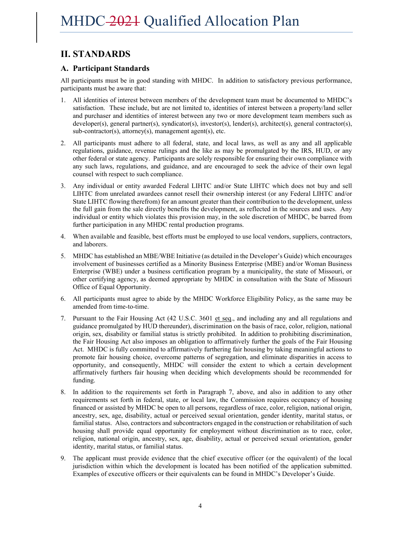# **II. STANDARDS**

### **A. Participant Standards**

All participants must be in good standing with MHDC. In addition to satisfactory previous performance, participants must be aware that:

- 1. All identities of interest between members of the development team must be documented to MHDC's satisfaction. These include, but are not limited to, identities of interest between a property/land seller and purchaser and identities of interest between any two or more development team members such as developer(s), general partner(s), syndicator(s), investor(s), lender(s), architect(s), general contractor(s), sub-contractor(s), attorney(s), management agent(s), etc.
- 2. All participants must adhere to all federal, state, and local laws, as well as any and all applicable regulations, guidance, revenue rulings and the like as may be promulgated by the IRS, HUD, or any other federal or state agency. Participants are solely responsible for ensuring their own compliance with any such laws, regulations, and guidance, and are encouraged to seek the advice of their own legal counsel with respect to such compliance.
- 3. Any individual or entity awarded Federal LIHTC and/or State LIHTC which does not buy and sell LIHTC from unrelated awardees cannot resell their ownership interest (or any Federal LIHTC and/or State LIHTC flowing therefrom) for an amount greater than their contribution to the development, unless the full gain from the sale directly benefits the development, as reflected in the sources and uses. Any individual or entity which violates this provision may, in the sole discretion of MHDC, be barred from further participation in any MHDC rental production programs.
- 4. When available and feasible, best efforts must be employed to use local vendors, suppliers, contractors, and laborers.
- 5. MHDC has established an MBE/WBE Initiative (as detailed in the Developer's Guide) which encourages involvement of businesses certified as a Minority Business Enterprise (MBE) and/or Woman Business Enterprise (WBE) under a business certification program by a municipality, the state of Missouri, or other certifying agency, as deemed appropriate by MHDC in consultation with the State of Missouri Office of Equal Opportunity.
- 6. All participants must agree to abide by the MHDC Workforce Eligibility Policy, as the same may be amended from time-to-time.
- 7. Pursuant to the Fair Housing Act (42 U.S.C. 3601 et seq., and including any and all regulations and guidance promulgated by HUD thereunder), discrimination on the basis of race, color, religion, national origin, sex, disability or familial status is strictly prohibited. In addition to prohibiting discrimination, the Fair Housing Act also imposes an obligation to affirmatively further the goals of the Fair Housing Act. MHDC is fully committed to affirmatively furthering fair housing by taking meaningful actions to promote fair housing choice, overcome patterns of segregation, and eliminate disparities in access to opportunity, and consequently, MHDC will consider the extent to which a certain development affirmatively furthers fair housing when deciding which developments should be recommended for funding.
- 8. In addition to the requirements set forth in Paragraph 7, above, and also in addition to any other requirements set forth in federal, state, or local law, the Commission requires occupancy of housing financed or assisted by MHDC be open to all persons, regardless of race, color, religion, national origin, ancestry, sex, age, disability, actual or perceived sexual orientation, gender identity, marital status, or familial status. Also, contractors and subcontractors engaged in the construction or rehabilitation of such housing shall provide equal opportunity for employment without discrimination as to race, color, religion, national origin, ancestry, sex, age, disability, actual or perceived sexual orientation, gender identity, marital status, or familial status.
- 9. The applicant must provide evidence that the chief executive officer (or the equivalent) of the local jurisdiction within which the development is located has been notified of the application submitted. Examples of executive officers or their equivalents can be found in MHDC's Developer's Guide.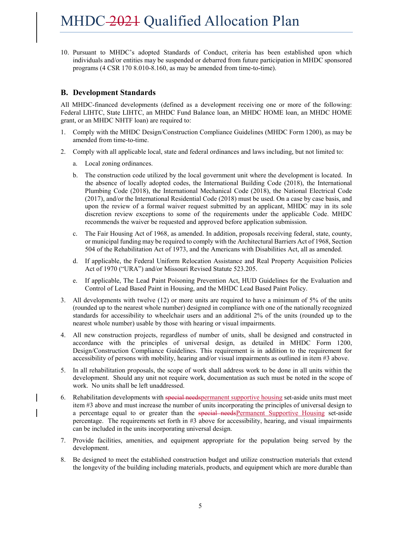10. Pursuant to MHDC's adopted Standards of Conduct, criteria has been established upon which individuals and/or entities may be suspended or debarred from future participation in MHDC sponsored programs (4 CSR 170 8.010-8.160, as may be amended from time-to-time).

### **B. Development Standards**

All MHDC-financed developments (defined as a development receiving one or more of the following: Federal LIHTC, State LIHTC, an MHDC Fund Balance loan, an MHDC HOME loan, an MHDC HOME grant, or an MHDC NHTF loan) are required to:

- 1. Comply with the MHDC Design/Construction Compliance Guidelines (MHDC Form 1200), as may be amended from time-to-time.
- 2. Comply with all applicable local, state and federal ordinances and laws including, but not limited to:
	- a. Local zoning ordinances.
	- b. The construction code utilized by the local government unit where the development is located. In the absence of locally adopted codes, the International Building Code (2018), the International Plumbing Code (2018), the International Mechanical Code (2018), the National Electrical Code (2017), and/or the International Residential Code (2018) must be used. On a case by case basis, and upon the review of a formal waiver request submitted by an applicant, MHDC may in its sole discretion review exceptions to some of the requirements under the applicable Code. MHDC recommends the waiver be requested and approved before application submission.
	- c. The Fair Housing Act of 1968, as amended. In addition, proposals receiving federal, state, county, or municipal funding may be required to comply with the Architectural Barriers Act of 1968, Section 504 of the Rehabilitation Act of 1973, and the Americans with Disabilities Act, all as amended.
	- d. If applicable, the Federal Uniform Relocation Assistance and Real Property Acquisition Policies Act of 1970 ("URA") and/or Missouri Revised Statute 523.205.
	- e. If applicable, The Lead Paint Poisoning Prevention Act, HUD Guidelines for the Evaluation and Control of Lead Based Paint in Housing, and the MHDC Lead Based Paint Policy.
- 3. All developments with twelve (12) or more units are required to have a minimum of 5% of the units (rounded up to the nearest whole number) designed in compliance with one of the nationally recognized standards for accessibility to wheelchair users and an additional 2% of the units (rounded up to the nearest whole number) usable by those with hearing or visual impairments.
- 4. All new construction projects, regardless of number of units, shall be designed and constructed in accordance with the principles of universal design, as detailed in MHDC Form 1200, Design/Construction Compliance Guidelines. This requirement is in addition to the requirement for accessibility of persons with mobility, hearing and/or visual impairments as outlined in item #3 above.
- 5. In all rehabilitation proposals, the scope of work shall address work to be done in all units within the development. Should any unit not require work, documentation as such must be noted in the scope of work. No units shall be left unaddressed.
- 6. Rehabilitation developments with special needs permanent supportive housing set-aside units must meet item #3 above and must increase the number of units incorporating the principles of universal design to a percentage equal to or greater than the special needsPermanent Supportive Housing set-aside percentage. The requirements set forth in #3 above for accessibility, hearing, and visual impairments can be included in the units incorporating universal design.
- 7. Provide facilities, amenities, and equipment appropriate for the population being served by the development.
- 8. Be designed to meet the established construction budget and utilize construction materials that extend the longevity of the building including materials, products, and equipment which are more durable than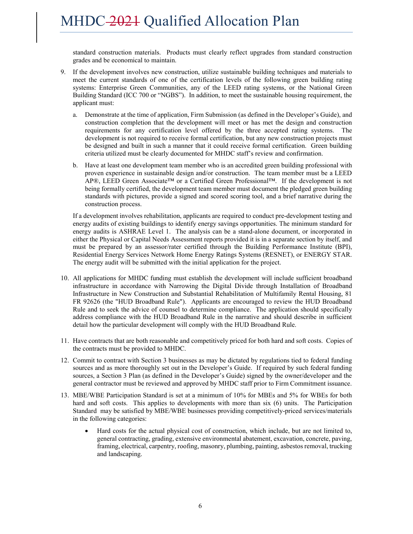standard construction materials. Products must clearly reflect upgrades from standard construction grades and be economical to maintain.

- 9. If the development involves new construction, utilize sustainable building techniques and materials to meet the current standards of one of the certification levels of the following green building rating systems: Enterprise Green Communities, any of the LEED rating systems, or the National Green Building Standard (ICC 700 or "NGBS"). In addition, to meet the sustainable housing requirement, the applicant must:
	- a. Demonstrate at the time of application, Firm Submission (as defined in the Developer's Guide), and construction completion that the development will meet or has met the design and construction requirements for any certification level offered by the three accepted rating systems. The development is not required to receive formal certification, but any new construction projects must be designed and built in such a manner that it could receive formal certification. Green building criteria utilized must be clearly documented for MHDC staff's review and confirmation.
	- b. Have at least one development team member who is an accredited green building professional with proven experience in sustainable design and/or construction. The team member must be a LEED AP®, LEED Green Associate™ or a Certified Green Professional™. If the development is not being formally certified, the development team member must document the pledged green building standards with pictures, provide a signed and scored scoring tool, and a brief narrative during the construction process.

If a development involves rehabilitation, applicants are required to conduct pre-development testing and energy audits of existing buildings to identify energy savings opportunities. The minimum standard for energy audits is ASHRAE Level 1. The analysis can be a stand-alone document, or incorporated in either the Physical or Capital Needs Assessment reports provided it is in a separate section by itself, and must be prepared by an assessor/rater certified through the Building Performance Institute (BPI), Residential Energy Services Network Home Energy Ratings Systems (RESNET), or ENERGY STAR. The energy audit will be submitted with the initial application for the project.

- 10. All applications for MHDC funding must establish the development will include sufficient broadband infrastructure in accordance with Narrowing the Digital Divide through Installation of Broadband Infrastructure in New Construction and Substantial Rehabilitation of Multifamily Rental Housing, 81 FR 92626 (the "HUD Broadband Rule"). Applicants are encouraged to review the HUD Broadband Rule and to seek the advice of counsel to determine compliance. The application should specifically address compliance with the HUD Broadband Rule in the narrative and should describe in sufficient detail how the particular development will comply with the HUD Broadband Rule.
- 11. Have contracts that are both reasonable and competitively priced for both hard and soft costs. Copies of the contracts must be provided to MHDC.
- 12. Commit to contract with Section 3 businesses as may be dictated by regulations tied to federal funding sources and as more thoroughly set out in the Developer's Guide. If required by such federal funding sources, a Section 3 Plan (as defined in the Developer's Guide) signed by the owner/developer and the general contractor must be reviewed and approved by MHDC staff prior to Firm Commitment issuance.
- 13. MBE/WBE Participation Standard is set at a minimum of 10% for MBEs and 5% for WBEs for both hard and soft costs. This applies to developments with more than six (6) units. The Participation Standard may be satisfied by MBE/WBE businesses providing competitively-priced services/materials in the following categories:
	- Hard costs for the actual physical cost of construction, which include, but are not limited to, general contracting, grading, extensive environmental abatement, excavation, concrete, paving, framing, electrical, carpentry, roofing, masonry, plumbing, painting, asbestos removal, trucking and landscaping.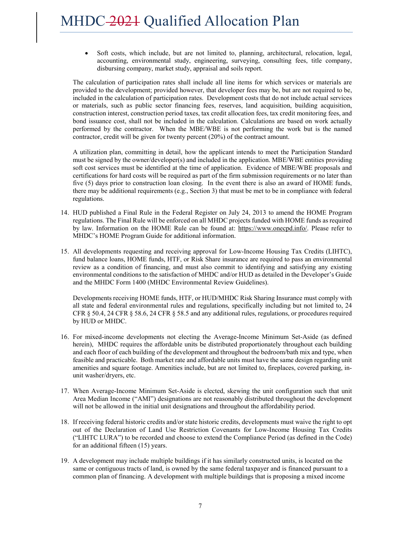Soft costs, which include, but are not limited to, planning, architectural, relocation, legal, accounting, environmental study, engineering, surveying, consulting fees, title company, disbursing company, market study, appraisal and soils report.

The calculation of participation rates shall include all line items for which services or materials are provided to the development; provided however, that developer fees may be, but are not required to be, included in the calculation of participation rates. Development costs that do not include actual services or materials, such as public sector financing fees, reserves, land acquisition, building acquisition, construction interest, construction period taxes, tax credit allocation fees, tax credit monitoring fees, and bond issuance cost, shall not be included in the calculation. Calculations are based on work actually performed by the contractor. When the MBE/WBE is not performing the work but is the named contractor, credit will be given for twenty percent (20%) of the contract amount.

A utilization plan, committing in detail, how the applicant intends to meet the Participation Standard must be signed by the owner/developer(s) and included in the application. MBE/WBE entities providing soft cost services must be identified at the time of application. Evidence of MBE/WBE proposals and certifications for hard costs will be required as part of the firm submission requirements or no later than five (5) days prior to construction loan closing. In the event there is also an award of HOME funds, there may be additional requirements (e.g., Section 3) that must be met to be in compliance with federal regulations.

- 14. HUD published a Final Rule in the Federal Register on July 24, 2013 to amend the HOME Program regulations. The Final Rule will be enforced on all MHDC projects funded with HOME funds as required by law. Information on the HOME Rule can be found at: https://www.onecpd.info/. Please refer to MHDC's HOME Program Guide for additional information.
- 15. All developments requesting and receiving approval for Low-Income Housing Tax Credits (LIHTC), fund balance loans, HOME funds, HTF, or Risk Share insurance are required to pass an environmental review as a condition of financing, and must also commit to identifying and satisfying any existing environmental conditions to the satisfaction of MHDC and/or HUD as detailed in the Developer's Guide and the MHDC Form 1400 (MHDC Environmental Review Guidelines).

Developments receiving HOME funds, HTF, or HUD/MHDC Risk Sharing Insurance must comply with all state and federal environmental rules and regulations, specifically including but not limited to, 24 CFR § 50.4, 24 CFR § 58.6, 24 CFR § 58.5 and any additional rules, regulations, or procedures required by HUD or MHDC.

- 16. For mixed-income developments not electing the Average-Income Minimum Set-Aside (as defined herein), MHDC requires the affordable units be distributed proportionately throughout each building and each floor of each building of the development and throughout the bedroom/bath mix and type, when feasible and practicable. Both market rate and affordable units must have the same design regarding unit amenities and square footage. Amenities include, but are not limited to, fireplaces, covered parking, inunit washer/dryers, etc.
- 17. When Average-Income Minimum Set-Aside is elected, skewing the unit configuration such that unit Area Median Income ("AMI") designations are not reasonably distributed throughout the development will not be allowed in the initial unit designations and throughout the affordability period.
- 18. If receiving federal historic credits and/or state historic credits, developments must waive the right to opt out of the Declaration of Land Use Restriction Covenants for Low-Income Housing Tax Credits ("LIHTC LURA") to be recorded and choose to extend the Compliance Period (as defined in the Code) for an additional fifteen (15) years.
- 19. A development may include multiple buildings if it has similarly constructed units, is located on the same or contiguous tracts of land, is owned by the same federal taxpayer and is financed pursuant to a common plan of financing. A development with multiple buildings that is proposing a mixed income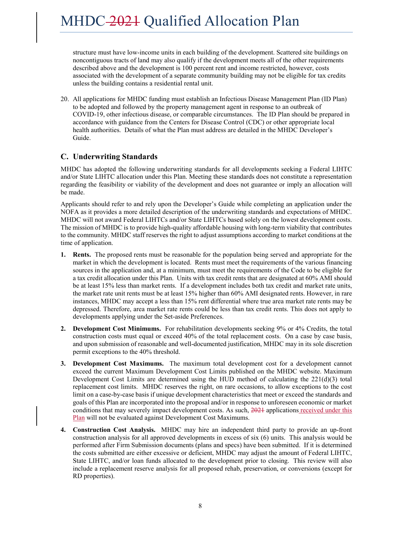structure must have low-income units in each building of the development. Scattered site buildings on noncontiguous tracts of land may also qualify if the development meets all of the other requirements described above and the development is 100 percent rent and income restricted, however, costs associated with the development of a separate community building may not be eligible for tax credits unless the building contains a residential rental unit.

20. All applications for MHDC funding must establish an Infectious Disease Management Plan (ID Plan) to be adopted and followed by the property management agent in response to an outbreak of COVID-19, other infectious disease, or comparable circumstances. The ID Plan should be prepared in accordance with guidance from the Centers for Disease Control (CDC) or other appropriate local health authorities. Details of what the Plan must address are detailed in the MHDC Developer's Guide.

### **C. Underwriting Standards**

MHDC has adopted the following underwriting standards for all developments seeking a Federal LIHTC and/or State LIHTC allocation under this Plan. Meeting these standards does not constitute a representation regarding the feasibility or viability of the development and does not guarantee or imply an allocation will be made.

Applicants should refer to and rely upon the Developer's Guide while completing an application under the NOFA as it provides a more detailed description of the underwriting standards and expectations of MHDC. MHDC will not award Federal LIHTCs and/or State LIHTCs based solely on the lowest development costs. The mission of MHDC is to provide high-quality affordable housing with long-term viability that contributes to the community. MHDC staff reserves the right to adjust assumptions according to market conditions at the time of application.

- **1. Rents.** The proposed rents must be reasonable for the population being served and appropriate for the market in which the development is located. Rents must meet the requirements of the various financing sources in the application and, at a minimum, must meet the requirements of the Code to be eligible for a tax credit allocation under this Plan. Units with tax credit rents that are designated at 60% AMI should be at least 15% less than market rents. If a development includes both tax credit and market rate units, the market rate unit rents must be at least 15% higher than 60% AMI designated rents. However, in rare instances, MHDC may accept a less than 15% rent differential where true area market rate rents may be depressed. Therefore, area market rate rents could be less than tax credit rents. This does not apply to developments applying under the Set-aside Preferences.
- **2. Development Cost Minimums.** For rehabilitation developments seeking 9% or 4% Credits, the total construction costs must equal or exceed 40% of the total replacement costs. On a case by case basis, and upon submission of reasonable and well-documented justification, MHDC may in its sole discretion permit exceptions to the 40% threshold.
- **3. Development Cost Maximums.** The maximum total development cost for a development cannot exceed the current Maximum Development Cost Limits published on the MHDC website. Maximum Development Cost Limits are determined using the HUD method of calculating the  $221(d)(3)$  total replacement cost limits. MHDC reserves the right, on rare occasions, to allow exceptions to the cost limit on a case-by-case basis if unique development characteristics that meet or exceed the standards and goals of this Plan are incorporated into the proposal and/or in response to unforeseen economic or market conditions that may severely impact development costs. As such, 2021 applications received under this Plan will not be evaluated against Development Cost Maximums.
- **4. Construction Cost Analysis.** MHDC may hire an independent third party to provide an up-front construction analysis for all approved developments in excess of six (6) units. This analysis would be performed after Firm Submission documents (plans and specs) have been submitted. If it is determined the costs submitted are either excessive or deficient, MHDC may adjust the amount of Federal LIHTC, State LIHTC, and/or loan funds allocated to the development prior to closing. This review will also include a replacement reserve analysis for all proposed rehab, preservation, or conversions (except for RD properties).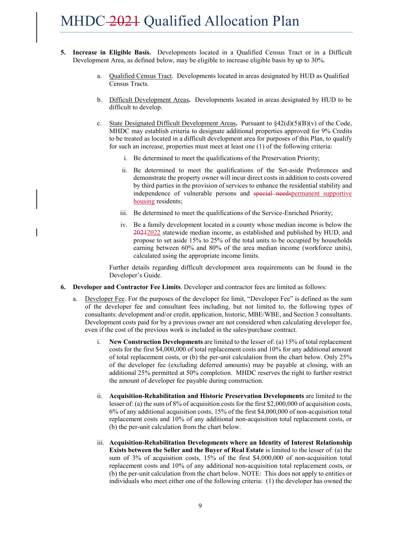- **5. Increase in Eligible Basis.** Developments located in a Qualified Census Tract or in a Difficult Development Area, as defined below, may be eligible to increase eligible basis by up to 30%.
	- a. Qualified Census Tract. Developments located in areas designated by HUD as Qualified Census Tracts.
	- b. Difficult Development Areas**.** Developments located in areas designated by HUD to be difficult to develop.
	- c. State Designated Difficult Development Areas. Pursuant to  $\frac{842(d)(5)(B)}{v}$  of the Code, MHDC may establish criteria to designate additional properties approved for 9% Credits to be treated as located in a difficult development area for purposes of this Plan, to qualify for such an increase, properties must meet at least one (1) of the following criteria:
		- i. Be determined to meet the qualifications of the Preservation Priority;
		- ii. Be determined to meet the qualifications of the Set-aside Preferences and demonstrate the property owner will incur direct costs in addition to costs covered by third parties in the provision of services to enhance the residential stability and independence of vulnerable persons and special needs permanent supportive housing residents;
		- iii. Be determined to meet the qualifications of the Service-Enriched Priority;
		- iv. Be a family development located in a county whose median income is below the 20212022 statewide median income, as established and published by HUD, and propose to set aside 15% to 25% of the total units to be occupied by households earning between 60% and 80% of the area median income (workforce units), calculated using the appropriate income limits.

Further details regarding difficult development area requirements can be found in the Developer's Guide.

- **6. Developer and Contractor Fee Limits**. Developer and contractor fees are limited as follows:
	- a. Developer Fee. For the purposes of the developer fee limit, "Developer Fee" is defined as the sum of the developer fee and consultant fees including, but not limited to, the following types of consultants: development and/or credit, application, historic, MBE/WBE, and Section 3 consultants. Development costs paid for by a previous owner are not considered when calculating developer fee, even if the cost of the previous work is included in the sales/purchase contract.
		- i. **New Construction Developments** are limited to the lesser of: (a) 15% of total replacement costs for the first \$4,000,000 of total replacement costs and 10% for any additional amount of total replacement costs, or (b) the per-unit calculation from the chart below. Only 25% of the developer fee (excluding deferred amounts) may be payable at closing, with an additional 25% permitted at 50% completion. MHDC reserves the right to further restrict the amount of developer fee payable during construction.
		- ii. **Acquisition-Rehabilitation and Historic Preservation Developments** are limited to the lesser of: (a) the sum of 8% of acquisition costs for the first \$2,000,000 of acquisition costs, 6% of any additional acquisition costs, 15% of the first \$4,000,000 of non-acquisition total replacement costs and 10% of any additional non-acquisition total replacement costs, or (b) the per-unit calculation from the chart below.
		- iii. **Acquisition-Rehabilitation Developments where an Identity of Interest Relationship Exists between the Seller and the Buyer of Real Estate** is limited to the lesser of: (a) the sum of 3% of acquisition costs, 15% of the first \$4,000,000 of non-acquisition total replacement costs and 10% of any additional non-acquisition total replacement costs, or (b) the per-unit calculation from the chart below. NOTE: This does not apply to entities or individuals who meet either one of the following criteria: (1) the developer has owned the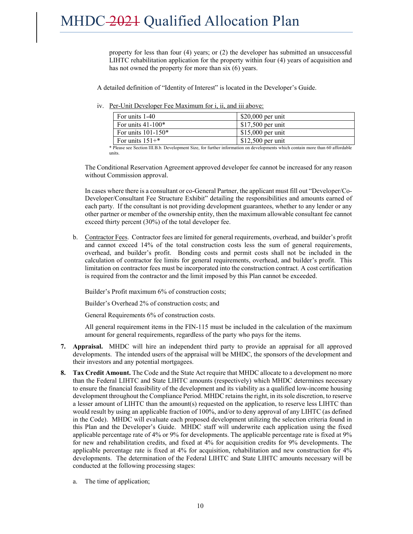property for less than four (4) years; or (2) the developer has submitted an unsuccessful LIHTC rehabilitation application for the property within four (4) years of acquisition and has not owned the property for more than six (6) years.

A detailed definition of "Identity of Interest" is located in the Developer's Guide.

iv. Per-Unit Developer Fee Maximum for i, ii, and iii above:

| For units 1-40       | $$20,000$ per unit |
|----------------------|--------------------|
| For units $41-100*$  | $$17,500$ per unit |
| For units $101-150*$ | $$15,000$ per unit |
| For units $151+$ *   | $$12,500$ per unit |

\* Please see Section III.B.b. Development Size, for further information on developments which contain more than 60 affordable units.

The Conditional Reservation Agreement approved developer fee cannot be increased for any reason without Commission approval.

In cases where there is a consultant or co-General Partner, the applicant must fill out "Developer/Co-Developer/Consultant Fee Structure Exhibit" detailing the responsibilities and amounts earned of each party. If the consultant is not providing development guarantees, whether to any lender or any other partner or member of the ownership entity, then the maximum allowable consultant fee cannot exceed thirty percent (30%) of the total developer fee.

b. Contractor Fees. Contractor fees are limited for general requirements, overhead, and builder's profit and cannot exceed 14% of the total construction costs less the sum of general requirements, overhead, and builder's profit. Bonding costs and permit costs shall not be included in the calculation of contractor fee limits for general requirements, overhead, and builder's profit. This limitation on contractor fees must be incorporated into the construction contract. A cost certification is required from the contractor and the limit imposed by this Plan cannot be exceeded.

Builder's Profit maximum 6% of construction costs;

Builder's Overhead 2% of construction costs; and

General Requirements 6% of construction costs.

All general requirement items in the FIN-115 must be included in the calculation of the maximum amount for general requirements, regardless of the party who pays for the items.

- **7. Appraisal.** MHDC will hire an independent third party to provide an appraisal for all approved developments. The intended users of the appraisal will be MHDC, the sponsors of the development and their investors and any potential mortgagees.
- **8. Tax Credit Amount.** The Code and the State Act require that MHDC allocate to a development no more than the Federal LIHTC and State LIHTC amounts (respectively) which MHDC determines necessary to ensure the financial feasibility of the development and its viability as a qualified low-income housing development throughout the Compliance Period. MHDC retains the right, in its sole discretion, to reserve a lesser amount of LIHTC than the amount(s) requested on the application, to reserve less LIHTC than would result by using an applicable fraction of 100%, and/or to deny approval of any LIHTC (as defined in the Code). MHDC will evaluate each proposed development utilizing the selection criteria found in this Plan and the Developer's Guide. MHDC staff will underwrite each application using the fixed applicable percentage rate of 4% or 9% for developments. The applicable percentage rate is fixed at 9% for new and rehabilitation credits, and fixed at 4% for acquisition credits for 9% developments. The applicable percentage rate is fixed at 4% for acquisition, rehabilitation and new construction for 4% developments. The determination of the Federal LIHTC and State LIHTC amounts necessary will be conducted at the following processing stages:
	- a. The time of application;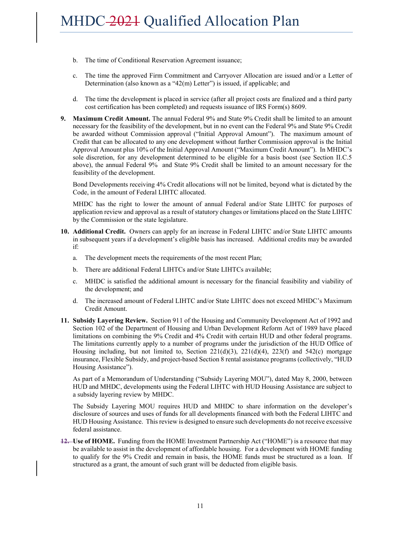- b. The time of Conditional Reservation Agreement issuance;
- c. The time the approved Firm Commitment and Carryover Allocation are issued and/or a Letter of Determination (also known as a "42(m) Letter") is issued, if applicable; and
- d. The time the development is placed in service (after all project costs are finalized and a third party cost certification has been completed) and requests issuance of IRS Form(s) 8609.
- **9. Maximum Credit Amount.** The annual Federal 9% and State 9% Credit shall be limited to an amount necessary for the feasibility of the development, but in no event can the Federal 9% and State 9% Credit be awarded without Commission approval ("Initial Approval Amount"). The maximum amount of Credit that can be allocated to any one development without further Commission approval is the Initial Approval Amount plus 10% of the Initial Approval Amount ("Maximum Credit Amount"). In MHDC's sole discretion, for any development determined to be eligible for a basis boost (see Section II.C.5 above), the annual Federal 9% and State 9% Credit shall be limited to an amount necessary for the feasibility of the development.

Bond Developments receiving 4% Credit allocations will not be limited, beyond what is dictated by the Code, in the amount of Federal LIHTC allocated.

MHDC has the right to lower the amount of annual Federal and/or State LIHTC for purposes of application review and approval as a result of statutory changes or limitations placed on the State LIHTC by the Commission or the state legislature.

- **10. Additional Credit.** Owners can apply for an increase in Federal LIHTC and/or State LIHTC amounts in subsequent years if a development's eligible basis has increased. Additional credits may be awarded if:
	- a. The development meets the requirements of the most recent Plan;
	- b. There are additional Federal LIHTCs and/or State LIHTCs available;
	- c. MHDC is satisfied the additional amount is necessary for the financial feasibility and viability of the development; and
	- d. The increased amount of Federal LIHTC and/or State LIHTC does not exceed MHDC's Maximum Credit Amount.
- **11. Subsidy Layering Review.** Section 911 of the Housing and Community Development Act of 1992 and Section 102 of the Department of Housing and Urban Development Reform Act of 1989 have placed limitations on combining the 9% Credit and 4% Credit with certain HUD and other federal programs. The limitations currently apply to a number of programs under the jurisdiction of the HUD Office of Housing including, but not limited to, Section  $221(d)(3)$ ,  $221(d)(4)$ ,  $223(f)$  and  $542(c)$  mortgage insurance, Flexible Subsidy, and project-based Section 8 rental assistance programs (collectively, "HUD Housing Assistance").

As part of a Memorandum of Understanding ("Subsidy Layering MOU"), dated May 8, 2000, between HUD and MHDC, developments using the Federal LIHTC with HUD Housing Assistance are subject to a subsidy layering review by MHDC.

The Subsidy Layering MOU requires HUD and MHDC to share information on the developer's disclosure of sources and uses of funds for all developments financed with both the Federal LIHTC and HUD Housing Assistance. This review is designed to ensure such developments do not receive excessive federal assistance.

**12.** Use of HOME. Funding from the HOME Investment Partnership Act ("HOME") is a resource that may be available to assist in the development of affordable housing. For a development with HOME funding to qualify for the 9% Credit and remain in basis, the HOME funds must be structured as a loan. If structured as a grant, the amount of such grant will be deducted from eligible basis.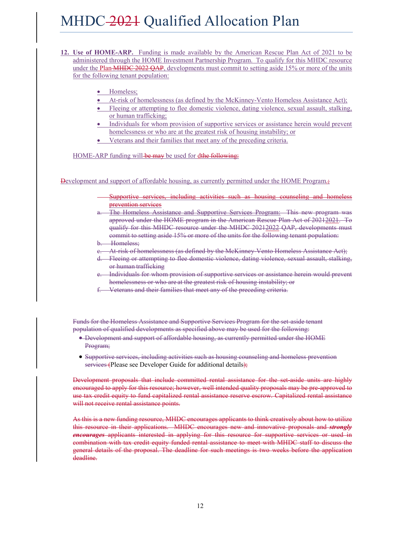- **12. Use of HOME-ARP.** Funding is made available by the American Rescue Plan Act of 2021 to be administered through the HOME Investment Partnership Program. To qualify for this MHDC resource under the Plan <del>MHDC 2022 QAP</del>, developments must commit to setting aside 15% or more of the units for the following tenant population:
	- Homeless;
	- At-risk of homelessness (as defined by the McKinney-Vento Homeless Assistance Act);
	- Fleeing or attempting to flee domestic violence, dating violence, sexual assault, stalking, or human trafficking;
	- Individuals for whom provision of supportive services or assistance herein would prevent homelessness or who are at the greatest risk of housing instability; or
	- Veterans and their families that meet any of the preceding criteria.

HOME-ARP funding will-be may be used for dthe following:

**Development and support of affordable housing, as currently permitted under the HOME Program.**;

- Supportive services, including activities such as housing counseling and homeless prevention services
- The Homeless Assistance and Supportive Services Program: This new program was approved under the HOME program in the American Rescue Plan Act of 20212021. To qualify for this MHDC resource under the MHDC 20212022 QAP, developments must commit to setting aside 15% or more of the units for the following tenant population:
- b. Homeless;
- e. At risk of homelessness (as defined by the McKinney-Vento Homeless Assistance Act);
- d. Fleeing or attempting to flee domestic violence, dating violence, sexual assault, stalking, or human trafficking
- e. Individuals for whom provision of supportive services or assistance herein would prevent homelessness or who are at the greatest risk of housing instability; or
- Veterans and their families that meet any of the preceding criteria.

Funds for the Homeless Assistance and Supportive Services Program for the set-aside tenant population of qualified developments as specified above may be used for the following:

- Development and support of affordable housing, as currently permitted under the HOME Program;
- Supportive services, including activities such as housing counseling and homeless prevention services (Please see Developer Guide for additional details);

Development proposals that include committed rental assistance for the set-aside units are highly encouraged to apply for this resource; however, well intended quality proposals may be pre-approved to use tax credit equity to fund capitalized rental assistance reserve escrow. Capitalized rental assistance will not receive rental assistance points.

As this is a new funding resource, MHDC encourages applicants to think creatively about how to utilize this resource in their applications. MHDC encourages new and innovative proposals and *strongly encourages* applicants interested in applying for this resource for supportive services or used in combination with tax credit equity funded rental assistance to meet with MHDC staff to discuss the general details of the proposal. The deadline for such meetings is two weeks before the application deadline.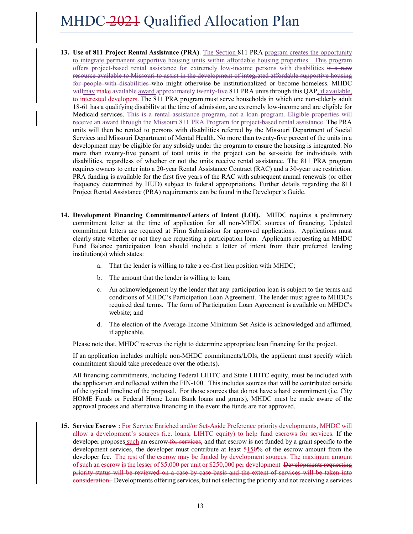- **13. Use of 811 Project Rental Assistance (PRA)**. The Section 811 PRA program creates the opportunity to integrate permanent supportive housing units within affordable housing properties. This program offers project-based rental assistance for extremely low-income persons with disabilities is a new resource available to Missouri to assist in the development of integrated affordable supportive housing for people with disabilities who might otherwise be institutionalized or become homeless. MHDC willmay make available award approximately twenty-five 811 PRA units through this QAP, if available, to interested developers. The 811 PRA program must serve households in which one non-elderly adult 18-61 has a qualifying disability at the time of admission, are extremely low-income and are eligible for Medicaid services. This is a rental assistance program, not a loan program. Eligible properties will receive an award through the Missouri 811 PRA Program for project based rental assistance. The PRA units will then be rented to persons with disabilities referred by the Missouri Department of Social Services and Missouri Department of Mental Health. No more than twenty-five percent of the units in a development may be eligible for any subsidy under the program to ensure the housing is integrated. No more than twenty-five percent of total units in the project can be set-aside for individuals with disabilities, regardless of whether or not the units receive rental assistance. The 811 PRA program requires owners to enter into a 20-year Rental Assistance Contract (RAC) and a 30-year use restriction. PRA funding is available for the first five years of the RAC with subsequent annual renewals (or other frequency determined by HUD) subject to federal appropriations. Further details regarding the 811 Project Rental Assistance (PRA) requirements can be found in the Developer's Guide.
- **14. Development Financing Commitments/Letters of Intent (LOI).** MHDC requires a preliminary commitment letter at the time of application for all non-MHDC sources of financing. Updated commitment letters are required at Firm Submission for approved applications. Applications must clearly state whether or not they are requesting a participation loan. Applicants requesting an MHDC Fund Balance participation loan should include a letter of intent from their preferred lending institution(s) which states:
	- a. That the lender is willing to take a co-first lien position with MHDC;
	- b. The amount that the lender is willing to loan;
	- c. An acknowledgement by the lender that any participation loan is subject to the terms and conditions of MHDC's Participation Loan Agreement. The lender must agree to MHDC's required deal terms. The form of Participation Loan Agreement is available on MHDC's website; and
	- d. The election of the Average-Income Minimum Set-Aside is acknowledged and affirmed, if applicable.

Please note that, MHDC reserves the right to determine appropriate loan financing for the project.

If an application includes multiple non-MHDC commitments/LOIs, the applicant must specify which commitment should take precedence over the other(s).

All financing commitments, including Federal LIHTC and State LIHTC equity, must be included with the application and reflected within the FIN-100. This includes sources that will be contributed outside of the typical timeline of the proposal. For those sources that do not have a hard commitment (i.e. City HOME Funds or Federal Home Loan Bank loans and grants), MHDC must be made aware of the approval process and alternative financing in the event the funds are not approved.

**15. Service Escrow :** For Service Enriched and/or Set-Aside Preference priority developments, MHDC will allow a development's sources (i.e. loans, LIHTC equity) to help fund escrows for services. If the developer proposes such an escrow for services, and that escrow is not funded by a grant specific to the development services, the developer must contribute at least 5150% of the escrow amount from the developer fee. The rest of the escrow may be funded by development sources. The maximum amount of such an escrow is the lesser of \$5,000 per unit or \$250,000 per development Developments requesting priority status will be reviewed on a case by case basis and the extent of services will be taken into consideration. Developments offering services, but not selecting the priority and not receiving a services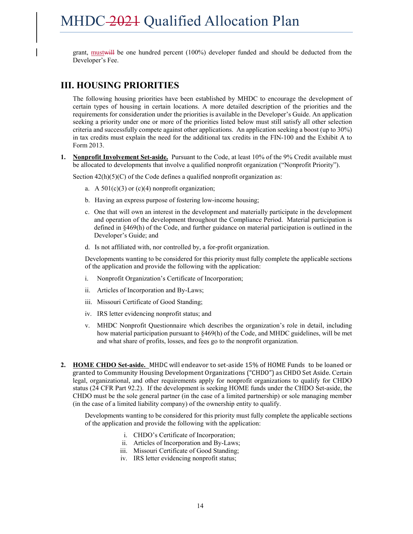grant, mustwill be one hundred percent (100%) developer funded and should be deducted from the Developer's Fee.

# **III. HOUSING PRIORITIES**

The following housing priorities have been established by MHDC to encourage the development of certain types of housing in certain locations. A more detailed description of the priorities and the requirements for consideration under the priorities is available in the Developer's Guide. An application seeking a priority under one or more of the priorities listed below must still satisfy all other selection criteria and successfully compete against other applications. An application seeking a boost (up to 30%) in tax credits must explain the need for the additional tax credits in the FIN-100 and the Exhibit A to Form 2013.

**1. Nonprofit Involvement Set-aside.** Pursuant to the Code, at least 10% of the 9% Credit available must be allocated to developments that involve a qualified nonprofit organization ("Nonprofit Priority").

Section  $42(h)(5)(C)$  of the Code defines a qualified nonprofit organization as:

- a. A  $501(c)(3)$  or  $(c)(4)$  nonprofit organization;
- b. Having an express purpose of fostering low-income housing;
- c. One that will own an interest in the development and materially participate in the development and operation of the development throughout the Compliance Period. Material participation is defined in §469(h) of the Code, and further guidance on material participation is outlined in the Developer's Guide; and
- d. Is not affiliated with, nor controlled by, a for-profit organization.

Developments wanting to be considered for this priority must fully complete the applicable sections of the application and provide the following with the application:

- i. Nonprofit Organization's Certificate of Incorporation;
- ii. Articles of Incorporation and By-Laws;
- iii. Missouri Certificate of Good Standing;
- iv. IRS letter evidencing nonprofit status; and
- v. MHDC Nonprofit Questionnaire which describes the organization's role in detail, including how material participation pursuant to §469(h) of the Code, and MHDC guidelines, will be met and what share of profits, losses, and fees go to the nonprofit organization.
- **2. HOME CHDO Set-aside.** MHDC will endeavor to set-aside 15% of HOME Funds to be loaned or granted to Community Housing Development Organizations ("CHDO") as CHDO Set Aside. Certain legal, organizational, and other requirements apply for nonprofit organizations to qualify for CHDO status (24 CFR Part 92.2). If the development is seeking HOME funds under the CHDO Set-aside, the CHDO must be the sole general partner (in the case of a limited partnership) or sole managing member (in the case of a limited liability company) of the ownership entity to qualify.

Developments wanting to be considered for this priority must fully complete the applicable sections of the application and provide the following with the application:

- i. CHDO's Certificate of Incorporation;
- ii. Articles of Incorporation and By-Laws;
- iii. Missouri Certificate of Good Standing;
- iv. IRS letter evidencing nonprofit status;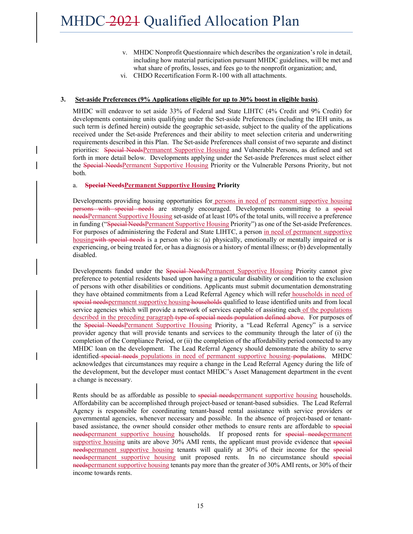- v. MHDC Nonprofit Questionnaire which describes the organization's role in detail, including how material participation pursuant MHDC guidelines, will be met and what share of profits, losses, and fees go to the nonprofit organization; and,
- vi. CHDO Recertification Form R-100 with all attachments.

#### **3. Set-aside Preferences (9% Applications eligible for up to 30% boost in eligible basis)**.

MHDC will endeavor to set aside 33% of Federal and State LIHTC (4% Credit and 9% Credit) for developments containing units qualifying under the Set-aside Preferences (including the IEH units, as such term is defined herein) outside the geographic set-aside, subject to the quality of the applications received under the Set-aside Preferences and their ability to meet selection criteria and underwriting requirements described in this Plan. The Set-aside Preferences shall consist of two separate and distinct priorities: Special NeedsPermanent Supportive Housing and Vulnerable Persons, as defined and set forth in more detail below. Developments applying under the Set-aside Preferences must select either the Special NeedsPermanent Supportive Housing Priority or the Vulnerable Persons Priority, but not both.

#### a. **Special NeedsPermanent Supportive Housing Priority**

Developments providing housing opportunities for persons in need of permanent supportive housing persons with special needs are strongly encouraged. Developments committing to a special needsPermanent Supportive Housing set-aside of at least 10% of the total units, will receive a preference in funding ("Special NeedsPermanent Supportive Housing Priority") as one of the Set-aside Preferences. For purposes of administering the Federal and State LIHTC, a person in need of permanent supportive housing with special needs is a person who is: (a) physically, emotionally or mentally impaired or is experiencing, or being treated for, or has a diagnosis or a history of mental illness; or (b) developmentally disabled.

Developments funded under the Special NeedsPermanent Supportive Housing Priority cannot give preference to potential residents based upon having a particular disability or condition to the exclusion of persons with other disabilities or conditions. Applicants must submit documentation demonstrating they have obtained commitments from a Lead Referral Agency which will refer households in need of special needspermanent supportive housing households qualified to lease identified units and from local service agencies which will provide a network of services capable of assisting each of the populations described in the preceding paragraph type of special needs population defined above. For purposes of the Special NeedsPermanent Supportive Housing Priority, a "Lead Referral Agency" is a service provider agency that will provide tenants and services to the community through the later of (i) the completion of the Compliance Period, or (ii) the completion of the affordability period connected to any MHDC loan on the development. The Lead Referral Agency should demonstrate the ability to serve identified special needs populations in need of permanent supportive housing populations. MHDC acknowledges that circumstances may require a change in the Lead Referral Agency during the life of the development, but the developer must contact MHDC's Asset Management department in the event a change is necessary.

Rents should be as affordable as possible to special needs permanent supportive housing households. Affordability can be accomplished through project-based or tenant-based subsidies. The Lead Referral Agency is responsible for coordinating tenant-based rental assistance with service providers or governmental agencies, whenever necessary and possible. In the absence of project-based or tenantbased assistance, the owner should consider other methods to ensure rents are affordable to special needspermanent supportive housing households. If proposed rents for special needspermanent supportive housing units are above 30% AMI rents, the applicant must provide evidence that special needspermanent supportive housing tenants will qualify at 30% of their income for the special needspermanent supportive housing unit proposed rents. In no circumstance should special needspermanent supportive housing tenants pay more than the greater of 30% AMI rents, or 30% of their income towards rents.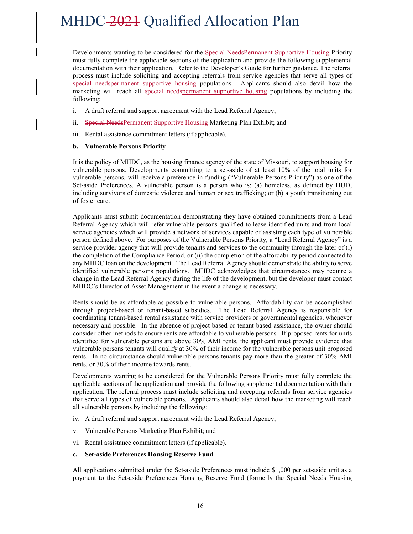Developments wanting to be considered for the Special NeedsPermanent Supportive Housing Priority must fully complete the applicable sections of the application and provide the following supplemental documentation with their application. Refer to the Developer's Guide for further guidance. The referral process must include soliciting and accepting referrals from service agencies that serve all types of special needspermanent supportive housing populations. Applicants should also detail how the marketing will reach all special needspermanent supportive housing populations by including the following:

- i. A draft referral and support agreement with the Lead Referral Agency;
- ii. Special NeedsPermanent Supportive Housing Marketing Plan Exhibit; and
- iii. Rental assistance commitment letters (if applicable).

#### **b. Vulnerable Persons Priority**

It is the policy of MHDC, as the housing finance agency of the state of Missouri, to support housing for vulnerable persons. Developments committing to a set-aside of at least 10% of the total units for vulnerable persons, will receive a preference in funding ("Vulnerable Persons Priority") as one of the Set-aside Preferences. A vulnerable person is a person who is: (a) homeless, as defined by HUD, including survivors of domestic violence and human or sex trafficking; or (b) a youth transitioning out of foster care.

Applicants must submit documentation demonstrating they have obtained commitments from a Lead Referral Agency which will refer vulnerable persons qualified to lease identified units and from local service agencies which will provide a network of services capable of assisting each type of vulnerable person defined above. For purposes of the Vulnerable Persons Priority, a "Lead Referral Agency" is a service provider agency that will provide tenants and services to the community through the later of (i) the completion of the Compliance Period, or (ii) the completion of the affordability period connected to any MHDC loan on the development. The Lead Referral Agency should demonstrate the ability to serve identified vulnerable persons populations. MHDC acknowledges that circumstances may require a change in the Lead Referral Agency during the life of the development, but the developer must contact MHDC's Director of Asset Management in the event a change is necessary.

Rents should be as affordable as possible to vulnerable persons. Affordability can be accomplished through project-based or tenant-based subsidies. The Lead Referral Agency is responsible for coordinating tenant-based rental assistance with service providers or governmental agencies, whenever necessary and possible. In the absence of project-based or tenant-based assistance, the owner should consider other methods to ensure rents are affordable to vulnerable persons. If proposed rents for units identified for vulnerable persons are above 30% AMI rents, the applicant must provide evidence that vulnerable persons tenants will qualify at 30% of their income for the vulnerable persons unit proposed rents. In no circumstance should vulnerable persons tenants pay more than the greater of 30% AMI rents, or 30% of their income towards rents.

Developments wanting to be considered for the Vulnerable Persons Priority must fully complete the applicable sections of the application and provide the following supplemental documentation with their application. The referral process must include soliciting and accepting referrals from service agencies that serve all types of vulnerable persons. Applicants should also detail how the marketing will reach all vulnerable persons by including the following:

- iv. A draft referral and support agreement with the Lead Referral Agency;
- v. Vulnerable Persons Marketing Plan Exhibit; and
- vi. Rental assistance commitment letters (if applicable).

#### **c. Set-aside Preferences Housing Reserve Fund**

All applications submitted under the Set-aside Preferences must include \$1,000 per set-aside unit as a payment to the Set-aside Preferences Housing Reserve Fund (formerly the Special Needs Housing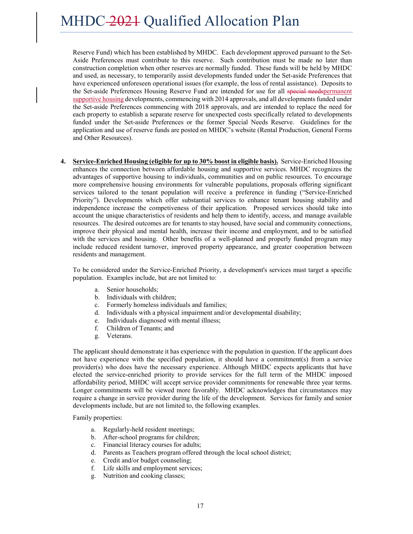Reserve Fund) which has been established by MHDC. Each development approved pursuant to the Set-Aside Preferences must contribute to this reserve. Such contribution must be made no later than construction completion when other reserves are normally funded. These funds will be held by MHDC and used, as necessary, to temporarily assist developments funded under the Set-aside Preferences that have experienced unforeseen operational issues (for example, the loss of rental assistance). Deposits to the Set-aside Preferences Housing Reserve Fund are intended for use for all special needspermanent supportive housing developments, commencing with 2014 approvals, and all developments funded under the Set-aside Preferences commencing with 2018 approvals, and are intended to replace the need for each property to establish a separate reserve for unexpected costs specifically related to developments funded under the Set-aside Preferences or the former Special Needs Reserve. Guidelines for the application and use of reserve funds are posted on MHDC's website (Rental Production, General Forms and Other Resources).

**4. Service-Enriched Housing (eligible for up to 30% boost in eligible basis).** Service-Enriched Housing enhances the connection between affordable housing and supportive services. MHDC recognizes the advantages of supportive housing to individuals, communities and on public resources. To encourage more comprehensive housing environments for vulnerable populations, proposals offering significant services tailored to the tenant population will receive a preference in funding ("Service-Enriched Priority"). Developments which offer substantial services to enhance tenant housing stability and independence increase the competiveness of their application. Proposed services should take into account the unique characteristics of residents and help them to identify, access, and manage available resources. The desired outcomes are for tenants to stay housed, have social and community connections, improve their physical and mental health, increase their income and employment, and to be satisfied with the services and housing. Other benefits of a well-planned and properly funded program may include reduced resident turnover, improved property appearance, and greater cooperation between residents and management.

To be considered under the Service-Enriched Priority, a development's services must target a specific population. Examples include, but are not limited to:

- a. Senior households;
- b. Individuals with children;
- c. Formerly homeless individuals and families;
- d. Individuals with a physical impairment and/or developmental disability;
- e. Individuals diagnosed with mental illness;
- f. Children of Tenants; and
- g. Veterans.

The applicant should demonstrate it has experience with the population in question. If the applicant does not have experience with the specified population, it should have a commitment(s) from a service provider(s) who does have the necessary experience. Although MHDC expects applicants that have elected the service-enriched priority to provide services for the full term of the MHDC imposed affordability period, MHDC will accept service provider commitments for renewable three year terms. Longer commitments will be viewed more favorably. MHDC acknowledges that circumstances may require a change in service provider during the life of the development. Services for family and senior developments include, but are not limited to, the following examples.

Family properties:

- a. Regularly-held resident meetings;
- b. After-school programs for children;
- c. Financial literacy courses for adults;
- d. Parents as Teachers program offered through the local school district;
- e. Credit and/or budget counseling;
- f. Life skills and employment services;
- g. Nutrition and cooking classes;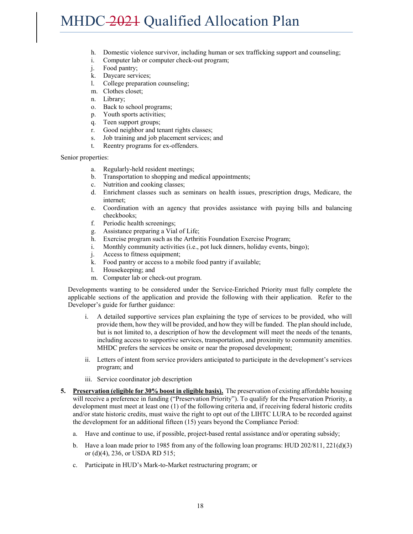- h. Domestic violence survivor, including human or sex trafficking support and counseling;
- i. Computer lab or computer check-out program;
- j. Food pantry;
- k. Daycare services;
- l. College preparation counseling;
- m. Clothes closet;
- n. Library;
- o. Back to school programs;
- p. Youth sports activities;
- q. Teen support groups;
- r. Good neighbor and tenant rights classes;
- s. Job training and job placement services; and
- t. Reentry programs for ex-offenders.

Senior properties:

- a. Regularly-held resident meetings;
- b. Transportation to shopping and medical appointments;
- c. Nutrition and cooking classes;
- d. Enrichment classes such as seminars on health issues, prescription drugs, Medicare, the internet;
- e. Coordination with an agency that provides assistance with paying bills and balancing checkbooks;
- f. Periodic health screenings;
- g. Assistance preparing a Vial of Life;
- h. Exercise program such as the Arthritis Foundation Exercise Program;
- i. Monthly community activities (i.e., pot luck dinners, holiday events, bingo);
- j. Access to fitness equipment;
- k. Food pantry or access to a mobile food pantry if available;
- l. Housekeeping; and
- m. Computer lab or check-out program.

Developments wanting to be considered under the Service-Enriched Priority must fully complete the applicable sections of the application and provide the following with their application. Refer to the Developer's guide for further guidance:

- i. A detailed supportive services plan explaining the type of services to be provided, who will provide them, how they will be provided, and how they will be funded. The plan should include, but is not limited to, a description of how the development will meet the needs of the tenants, including access to supportive services, transportation, and proximity to community amenities. MHDC prefers the services be onsite or near the proposed development;
- ii. Letters of intent from service providers anticipated to participate in the development's services program; and
- iii. Service coordinator job description
- **5. Preservation (eligible for 30% boost in eligible basis).** The preservation of existing affordable housing will receive a preference in funding ("Preservation Priority"). To qualify for the Preservation Priority, a development must meet at least one (1) of the following criteria and, if receiving federal historic credits and/or state historic credits, must waive the right to opt out of the LIHTC LURA to be recorded against the development for an additional fifteen (15) years beyond the Compliance Period:
	- a. Have and continue to use, if possible, project-based rental assistance and/or operating subsidy;
	- b. Have a loan made prior to 1985 from any of the following loan programs: HUD 202/811, 221(d)(3) or (d)(4), 236, or USDA RD 515;
	- c. Participate in HUD's Mark-to-Market restructuring program; or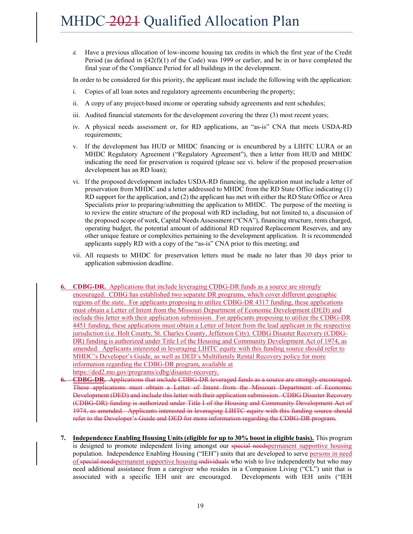d. Have a previous allocation of low-income housing tax credits in which the first year of the Credit Period (as defined in §42(f)(1) of the Code) was 1999 or earlier, and be in or have completed the final year of the Compliance Period for all buildings in the development.

In order to be considered for this priority, the applicant must include the following with the application:

- i. Copies of all loan notes and regulatory agreements encumbering the property;
- ii. A copy of any project-based income or operating subsidy agreements and rent schedules;
- iii. Audited financial statements for the development covering the three (3) most recent years;
- iv. A physical needs assessment or, for RD applications, an "as-is" CNA that meets USDA-RD requirements;
- v. If the development has HUD or MHDC financing or is encumbered by a LIHTC LURA or an MHDC Regulatory Agreement ("Regulatory Agreement"), then a letter from HUD and MHDC indicating the need for preservation is required (please see vi. below if the proposed preservation development has an RD loan);
- vi. If the proposed development includes USDA-RD financing, the application must include a letter of preservation from MHDC and a letter addressed to MHDC from the RD State Office indicating (1) RD support for the application, and (2) the applicant has met with either the RD State Office or Area Specialists prior to preparing/submitting the application to MHDC. The purpose of the meeting is to review the entire structure of the proposal with RD including, but not limited to, a discussion of the proposed scope of work, Capital Needs Assessment ("CNA"), financing structure, rents charged, operating budget, the potential amount of additional RD required Replacement Reserves, and any other unique feature or complexities pertaining to the development application. It is recommended applicants supply RD with a copy of the "as-is" CNA prior to this meeting; and
- vii. All requests to MHDC for preservation letters must be made no later than 30 days prior to application submission deadline.
- **6. CDBG-DR.** Applications that include leveraging CDBG-DR funds as a source are strongly encouraged. CDBG has established two separate DR programs, which cover different geographic regions of the state. For applicants proposing to utilize CDBG-DR 4317 funding, these applications must obtain a Letter of Intent from the Missouri Department of Economic Development (DED) and include this letter with their application submission. For applicants proposing to utilize the CDBG-DR 4451 funding, these applications must obtain a Letter of Intent from the lead applicant in the respective jurisdiction (i.e. Holt County, St. Charles County, Jefferson City). CDBG Disaster Recovery (CDBG-DR) funding is authorized under Title I of the Housing and Community Development Act of 1974, as amended. Applicants interested in leveraging LIHTC equity with this funding source should refer to MHDC's Developer's Guide, as well as DED's Multifamily Rental Recovery policy for more information regarding the CDBG-DR program, available at https://ded2.mo.gov/programs/cdbg/disaster-recovery.
- **6. CDBG-DR.** Applications that include CDBG-DR leveraged funds as a source are strongly encouraged. These applications must obtain a Letter of Intent from the Missouri Department of Economic Development (DED) and include this letter with their application submission. CDBG Disaster Recovery (CDBG-DR) funding is authorized under Title I of the Housing and Community Development Act of 1974, as amended. Applicants interested in leveraging LIHTC equity with this funding source should refer to the Developer's Guide and DED for more information regarding the CDBG-DR program.
- **7. Independence Enabling Housing Units (eligible for up to 30% boost in eligible basis).** This program is designed to promote independent living amongst our special needspermanent supportive housing population. Independence Enabling Housing ("IEH") units that are developed to serve persons in need of special needspermanent supportive housing individuals who wish to live independently but who may need additional assistance from a caregiver who resides in a Companion Living ("CL") unit that is associated with a specific IEH unit are encouraged. Developments with IEH units ("IEH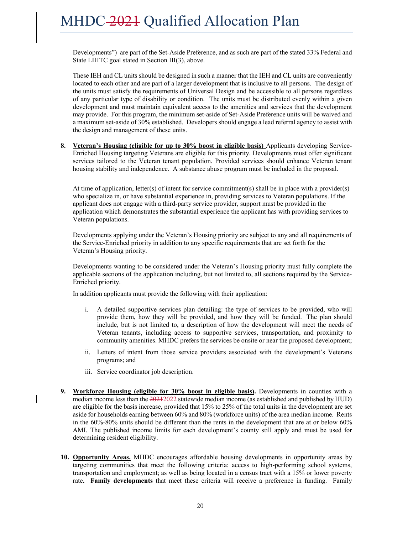Developments") are part of the Set-Aside Preference, and as such are part of the stated 33% Federal and State LIHTC goal stated in Section III(3), above.

These IEH and CL units should be designed in such a manner that the IEH and CL units are conveniently located to each other and are part of a larger development that is inclusive to all persons. The design of the units must satisfy the requirements of Universal Design and be accessible to all persons regardless of any particular type of disability or condition. The units must be distributed evenly within a given development and must maintain equivalent access to the amenities and services that the development may provide. For this program, the minimum set-aside of Set-Aside Preference units will be waived and a maximum set-aside of 30% established. Developers should engage a lead referral agency to assist with the design and management of these units.

**8. Veteran's Housing (eligible for up to 30% boost in eligible basis)** Applicants developing Service-Enriched Housing targeting Veterans are eligible for this priority. Developments must offer significant services tailored to the Veteran tenant population. Provided services should enhance Veteran tenant housing stability and independence. A substance abuse program must be included in the proposal.

At time of application, letter(s) of intent for service commitment(s) shall be in place with a provider(s) who specialize in, or have substantial experience in, providing services to Veteran populations. If the applicant does not engage with a third-party service provider, support must be provided in the application which demonstrates the substantial experience the applicant has with providing services to Veteran populations.

Developments applying under the Veteran's Housing priority are subject to any and all requirements of the Service-Enriched priority in addition to any specific requirements that are set forth for the Veteran's Housing priority.

Developments wanting to be considered under the Veteran's Housing priority must fully complete the applicable sections of the application including, but not limited to, all sections required by the Service-Enriched priority.

In addition applicants must provide the following with their application:

- i. A detailed supportive services plan detailing: the type of services to be provided, who will provide them, how they will be provided, and how they will be funded. The plan should include, but is not limited to, a description of how the development will meet the needs of Veteran tenants, including access to supportive services, transportation, and proximity to community amenities. MHDC prefers the services be onsite or near the proposed development;
- ii. Letters of intent from those service providers associated with the development's Veterans programs; and
- iii. Service coordinator job description.
- **9. Workforce Housing (eligible for 30% boost in eligible basis).** Developments in counties with a median income less than the 20212022 statewide median income (as established and published by HUD) are eligible for the basis increase, provided that 15% to 25% of the total units in the development are set aside for households earning between 60% and 80% (workforce units) of the area median income. Rents in the 60%-80% units should be different than the rents in the development that are at or below 60% AMI. The published income limits for each development's county still apply and must be used for determining resident eligibility.
- **10. Opportunity Areas.** MHDC encourages affordable housing developments in opportunity areas by targeting communities that meet the following criteria: access to high-performing school systems, transportation and employment; as well as being located in a census tract with a 15% or lower poverty rate**. Family developments** that meet these criteria will receive a preference in funding. Family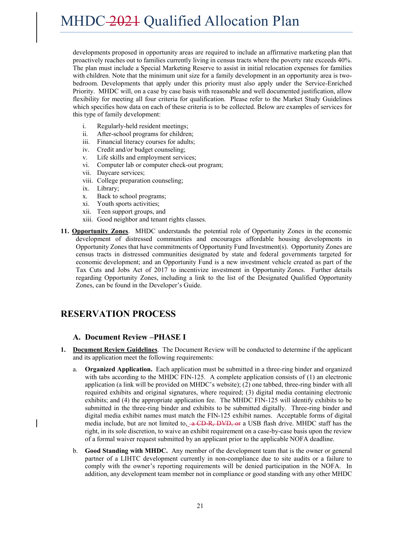developments proposed in opportunity areas are required to include an affirmative marketing plan that proactively reaches out to families currently living in census tracts where the poverty rate exceeds 40%. The plan must include a Special Marketing Reserve to assist in initial relocation expenses for families with children. Note that the minimum unit size for a family development in an opportunity area is twobedroom. Developments that apply under this priority must also apply under the Service-Enriched Priority. MHDC will, on a case by case basis with reasonable and well documented justification, allow flexibility for meeting all four criteria for qualification. Please refer to the Market Study Guidelines which specifies how data on each of these criteria is to be collected. Below are examples of services for this type of family development:

- i. Regularly-held resident meetings;
- ii. After-school programs for children;
- iii. Financial literacy courses for adults;
- iv. Credit and/or budget counseling;
- v. Life skills and employment services;
- vi. Computer lab or computer check-out program;
- vii. Daycare services;
- viii. College preparation counseling;
- ix. Library;
- x. Back to school programs;
- xi. Youth sports activities;
- xii. Teen support groups, and
- xiii. Good neighbor and tenant rights classes.
- **11. Opportunity Zones**. MHDC understands the potential role of Opportunity Zones in the economic development of distressed communities and encourages affordable housing developments in Opportunity Zones that have commitments of Opportunity Fund Investment(s). Opportunity Zones are census tracts in distressed communities designated by state and federal governments targeted for economic development; and an Opportunity Fund is a new investment vehicle created as part of the Tax Cuts and Jobs Act of 2017 to incentivize investment in Opportunity Zones. Further details regarding Opportunity Zones, including a link to the list of the Designated Qualified Opportunity Zones, can be found in the Developer's Guide.

# **RESERVATION PROCESS**

### **A. Document Review –PHASE I**

- **1. Document Review Guidelines**. The Document Review will be conducted to determine if the applicant and its application meet the following requirements:
	- a. **Organized Application.** Each application must be submitted in a three-ring binder and organized with tabs according to the MHDC FIN-125. A complete application consists of (1) an electronic application (a link will be provided on MHDC's website); (2) one tabbed, three-ring binder with all required exhibits and original signatures, where required; (3) digital media containing electronic exhibits; and (4) the appropriate application fee. The MHDC FIN-125 will identify exhibits to be submitted in the three-ring binder and exhibits to be submitted digitally. Three-ring binder and digital media exhibit names must match the FIN-125 exhibit names. Acceptable forms of digital media include, but are not limited to,  $-\alpha$  CD-R, DVD, or a USB flash drive. MHDC staff has the right, in its sole discretion, to waive an exhibit requirement on a case-by-case basis upon the review of a formal waiver request submitted by an applicant prior to the applicable NOFA deadline.
	- b. **Good Standing with MHDC.** Any member of the development team that is the owner or general partner of a LIHTC development currently in non-compliance due to site audits or a failure to comply with the owner's reporting requirements will be denied participation in the NOFA. In addition, any development team member not in compliance or good standing with any other MHDC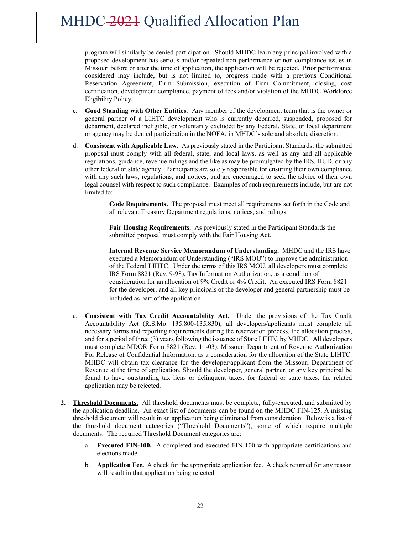program will similarly be denied participation. Should MHDC learn any principal involved with a proposed development has serious and/or repeated non-performance or non-compliance issues in Missouri before or after the time of application, the application will be rejected. Prior performance considered may include, but is not limited to, progress made with a previous Conditional Reservation Agreement, Firm Submission, execution of Firm Commitment, closing, cost certification, development compliance, payment of fees and/or violation of the MHDC Workforce Eligibility Policy.

- c. **Good Standing with Other Entities.** Any member of the development team that is the owner or general partner of a LIHTC development who is currently debarred, suspended, proposed for debarment, declared ineligible, or voluntarily excluded by any Federal, State, or local department or agency may be denied participation in the NOFA, in MHDC's sole and absolute discretion.
- d. **Consistent with Applicable Law.** As previously stated in the Participant Standards, the submitted proposal must comply with all federal, state, and local laws, as well as any and all applicable regulations, guidance, revenue rulings and the like as may be promulgated by the IRS, HUD, or any other federal or state agency. Participants are solely responsible for ensuring their own compliance with any such laws, regulations, and notices, and are encouraged to seek the advice of their own legal counsel with respect to such compliance. Examples of such requirements include, but are not limited to:

**Code Requirements.** The proposal must meet all requirements set forth in the Code and all relevant Treasury Department regulations, notices, and rulings.

**Fair Housing Requirements.** As previously stated in the Participant Standards the submitted proposal must comply with the Fair Housing Act.

**Internal Revenue Service Memorandum of Understanding.** MHDC and the IRS have executed a Memorandum of Understanding ("IRS MOU") to improve the administration of the Federal LIHTC. Under the terms of this IRS MOU, all developers must complete IRS Form 8821 (Rev. 9-98), Tax Information Authorization, as a condition of consideration for an allocation of 9% Credit or 4% Credit. An executed IRS Form 8821 for the developer, and all key principals of the developer and general partnership must be included as part of the application.

- e. **Consistent with Tax Credit Accountability Act.** Under the provisions of the Tax Credit Accountability Act (R.S.Mo. 135.800-135.830), all developers/applicants must complete all necessary forms and reporting requirements during the reservation process, the allocation process, and for a period of three (3) years following the issuance of State LIHTC by MHDC. All developers must complete MDOR Form 8821 (Rev. 11-03), Missouri Department of Revenue Authorization For Release of Confidential Information, as a consideration for the allocation of the State LIHTC. MHDC will obtain tax clearance for the developer/applicant from the Missouri Department of Revenue at the time of application. Should the developer, general partner, or any key principal be found to have outstanding tax liens or delinquent taxes, for federal or state taxes, the related application may be rejected.
- **2. Threshold Documents.** All threshold documents must be complete, fully-executed, and submitted by the application deadline. An exact list of documents can be found on the MHDC FIN-125. A missing threshold document will result in an application being eliminated from consideration. Below is a list of the threshold document categories ("Threshold Documents"), some of which require multiple documents. The required Threshold Document categories are:
	- a. **Executed FIN-100.** A completed and executed FIN-100 with appropriate certifications and elections made.
	- b. **Application Fee.** A check for the appropriate application fee. A check returned for any reason will result in that application being rejected.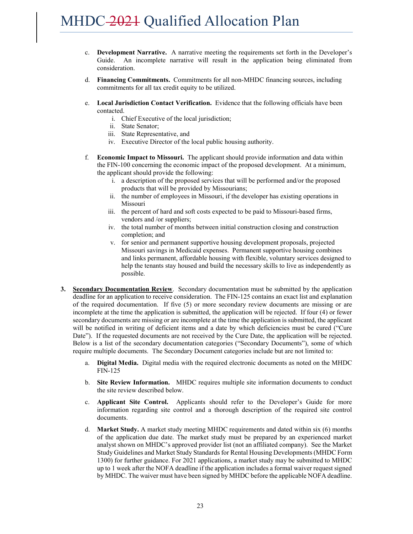- c. **Development Narrative.** A narrative meeting the requirements set forth in the Developer's Guide. An incomplete narrative will result in the application being eliminated from consideration.
- d. **Financing Commitments.** Commitments for all non-MHDC financing sources, including commitments for all tax credit equity to be utilized.
- e. **Local Jurisdiction Contact Verification.** Evidence that the following officials have been contacted.
	- i. Chief Executive of the local jurisdiction;
	- ii. State Senator;
	- iii. State Representative, and
	- iv. Executive Director of the local public housing authority.
- f. **Economic Impact to Missouri.** The applicant should provide information and data within the FIN-100 concerning the economic impact of the proposed development. At a minimum, the applicant should provide the following:
	- i. a description of the proposed services that will be performed and/or the proposed products that will be provided by Missourians;
	- ii. the number of employees in Missouri, if the developer has existing operations in Missouri
	- iii. the percent of hard and soft costs expected to be paid to Missouri-based firms, vendors and /or suppliers;
	- iv. the total number of months between initial construction closing and construction completion; and
	- v. for senior and permanent supportive housing development proposals, projected Missouri savings in Medicaid expenses. Permanent supportive housing combines and links permanent, affordable housing with flexible, voluntary services designed to help the tenants stay housed and build the necessary skills to live as independently as possible.
- **3. Secondary Documentation Review**. Secondary documentation must be submitted by the application deadline for an application to receive consideration. The FIN-125 contains an exact list and explanation of the required documentation. If five (5) or more secondary review documents are missing or are incomplete at the time the application is submitted, the application will be rejected. If four (4) or fewer secondary documents are missing or are incomplete at the time the application is submitted, the applicant will be notified in writing of deficient items and a date by which deficiencies must be cured ("Cure Date"). If the requested documents are not received by the Cure Date, the application will be rejected. Below is a list of the secondary documentation categories ("Secondary Documents"), some of which require multiple documents. The Secondary Document categories include but are not limited to:
	- a. **Digital Media.** Digital media with the required electronic documents as noted on the MHDC FIN-125
	- b. **Site Review Information.** MHDC requires multiple site information documents to conduct the site review described below.
	- c. **Applicant Site Control.** Applicants should refer to the Developer's Guide for more information regarding site control and a thorough description of the required site control documents.
	- d. **Market Study.** A market study meeting MHDC requirements and dated within six (6) months of the application due date. The market study must be prepared by an experienced market analyst shown on MHDC's approved provider list (not an affiliated company). See the Market Study Guidelines and Market Study Standards for Rental Housing Developments (MHDC Form 1300) for further guidance. For 2021 applications, a market study may be submitted to MHDC up to 1 week after the NOFA deadline if the application includes a formal waiver request signed by MHDC. The waiver must have been signed by MHDC before the applicable NOFA deadline.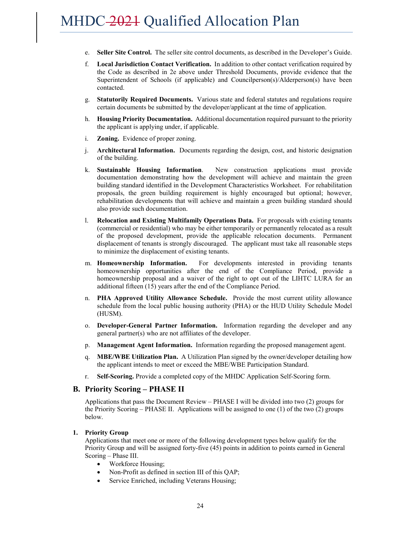- e. **Seller Site Control.** The seller site control documents, as described in the Developer's Guide.
- f. **Local Jurisdiction Contact Verification.** In addition to other contact verification required by the Code as described in 2e above under Threshold Documents, provide evidence that the Superintendent of Schools (if applicable) and Councilperson(s)/Alderperson(s) have been contacted.
- g. **Statutorily Required Documents.** Various state and federal statutes and regulations require certain documents be submitted by the developer/applicant at the time of application.
- h. **Housing Priority Documentation.** Additional documentation required pursuant to the priority the applicant is applying under, if applicable.
- i. **Zoning.** Evidence of proper zoning.
- j. **Architectural Information.** Documents regarding the design, cost, and historic designation of the building.
- k. **Sustainable Housing Information**. New construction applications must provide documentation demonstrating how the development will achieve and maintain the green building standard identified in the Development Characteristics Worksheet. For rehabilitation proposals, the green building requirement is highly encouraged but optional; however, rehabilitation developments that will achieve and maintain a green building standard should also provide such documentation.
- l. **Relocation and Existing Multifamily Operations Data.** For proposals with existing tenants (commercial or residential) who may be either temporarily or permanently relocated as a result of the proposed development, provide the applicable relocation documents. Permanent displacement of tenants is strongly discouraged. The applicant must take all reasonable steps to minimize the displacement of existing tenants.
- m. **Homeownership Information.** For developments interested in providing tenants homeownership opportunities after the end of the Compliance Period, provide a homeownership proposal and a waiver of the right to opt out of the LIHTC LURA for an additional fifteen (15) years after the end of the Compliance Period.
- n. **PHA Approved Utility Allowance Schedule.** Provide the most current utility allowance schedule from the local public housing authority (PHA) or the HUD Utility Schedule Model (HUSM).
- o. **Developer-General Partner Information.** Information regarding the developer and any general partner(s) who are not affiliates of the developer.
- p. **Management Agent Information.** Information regarding the proposed management agent.
- q. **MBE/WBE Utilization Plan.** A Utilization Plan signed by the owner/developer detailing how the applicant intends to meet or exceed the MBE/WBE Participation Standard.
- r. **Self-Scoring.** Provide a completed copy of the MHDC Application Self-Scoring form.

#### **B. Priority Scoring – PHASE II**

Applications that pass the Document Review – PHASE I will be divided into two (2) groups for the Priority Scoring – PHASE II. Applications will be assigned to one (1) of the two (2) groups below.

#### **1. Priority Group**

Applications that meet one or more of the following development types below qualify for the Priority Group and will be assigned forty-five (45) points in addition to points earned in General Scoring – Phase III.

- Workforce Housing;
- Non-Profit as defined in section III of this QAP;
- Service Enriched, including Veterans Housing;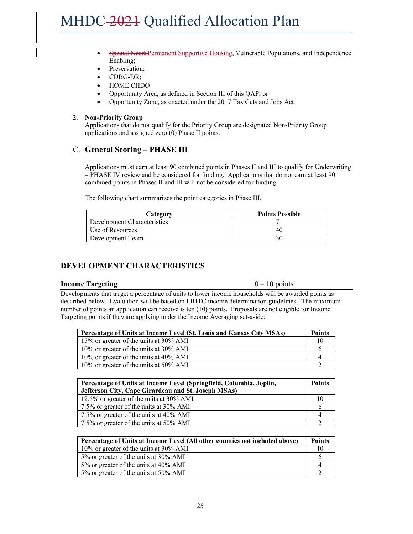- Special NeedsPermanent Supportive Housing, Vulnerable Populations, and Independence Enabling;
- Preservation;
- CDBG-DR;
- HOME CHDO
- Opportunity Area, as defined in Section III of this QAP; or
- Opportunity Zone, as enacted under the 2017 Tax Cuts and Jobs Act

#### **2. Non-Priority Group**

Applications that do not qualify for the Priority Group are designated Non-Priority Group applications and assigned zero (0) Phase II points.

#### C. **General Scoring – PHASE III**

Applications must earn at least 90 combined points in Phases II and III to qualify for Underwriting – PHASE IV review and be considered for funding. Applications that do not earn at least 90 combined points in Phases II and III will not be considered for funding.

The following chart summarizes the point categories in Phase III.

| Category                    | <b>Points Possible</b> |
|-----------------------------|------------------------|
| Development Characteristics |                        |
| <b>Use of Resources</b>     |                        |
| Development Team            |                        |

### **DEVELOPMENT CHARACTERISTICS**

#### **Income Targeting** 0 – 10 points

Developments that target a percentage of units to lower income households will be awarded points as described below. Evaluation will be based on LIHTC income determination guidelines. The maximum number of points an application can receive is ten (10) points. Proposals are not eligible for Income Targeting points if they are applying under the Income Averaging set-aside:

| Percentage of Units at Income Level (St. Louis and Kansas City MSAs) | <b>Points</b> |
|----------------------------------------------------------------------|---------------|
| 15% or greater of the units at 30% AMI                               | 10            |
| 10% or greater of the units at 30% AMI                               |               |
| 10% or greater of the units at 40% AMI                               |               |
| 10% or greater of the units at 50% AMI                               |               |

| Percentage of Units at Income Level (Springfield, Columbia, Joplin, |  |
|---------------------------------------------------------------------|--|
| Jefferson City, Cape Girardeau and St. Joseph MSAs)                 |  |
| 12.5% or greater of the units at 30% AMI                            |  |
| 7.5% or greater of the units at 30% AMI                             |  |
| 7.5% or greater of the units at 40% AMI                             |  |
| 7.5% or greater of the units at 50% AMI                             |  |

| Percentage of Units at Income Level (All other counties not included above) |    |
|-----------------------------------------------------------------------------|----|
| 10% or greater of the units at 30% AMI                                      | 10 |
| 5% or greater of the units at 30% AMI                                       |    |
| 5% or greater of the units at 40% AMI                                       |    |
| 5% or greater of the units at 50% AMI                                       |    |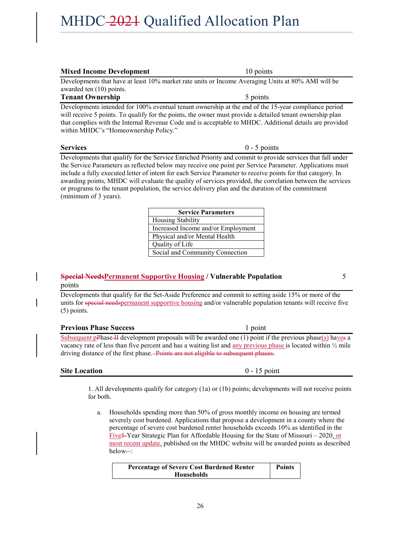| <b>Mixed Income Development</b>                                                                                                                                                                                                                                                                                                                                                                                                                                                                                                                                                     | 10 points                          |  |  |
|-------------------------------------------------------------------------------------------------------------------------------------------------------------------------------------------------------------------------------------------------------------------------------------------------------------------------------------------------------------------------------------------------------------------------------------------------------------------------------------------------------------------------------------------------------------------------------------|------------------------------------|--|--|
| Developments that have at least 10% market rate units or Income Averaging Units at 80% AMI will be                                                                                                                                                                                                                                                                                                                                                                                                                                                                                  |                                    |  |  |
| awarded ten (10) points.                                                                                                                                                                                                                                                                                                                                                                                                                                                                                                                                                            |                                    |  |  |
| <b>Tenant Ownership</b>                                                                                                                                                                                                                                                                                                                                                                                                                                                                                                                                                             | 5 points                           |  |  |
| Developments intended for 100% eventual tenant ownership at the end of the 15-year compliance period<br>will receive 5 points. To qualify for the points, the owner must provide a detailed tenant ownership plan<br>that complies with the Internal Revenue Code and is acceptable to MHDC. Additional details are provided<br>within MHDC's "Homeownership Policy."                                                                                                                                                                                                               |                                    |  |  |
| <b>Services</b>                                                                                                                                                                                                                                                                                                                                                                                                                                                                                                                                                                     | $0 - 5$ points                     |  |  |
| Developments that qualify for the Service Enriched Priority and commit to provide services that fall under<br>the Service Parameters as reflected below may receive one point per Service Parameter. Applications must<br>include a fully executed letter of intent for each Service Parameter to receive points for that category. In<br>awarding points, MHDC will evaluate the quality of services provided, the correlation between the services<br>or programs to the tenant population, the service delivery plan and the duration of the commitment<br>(minimum of 3 years). |                                    |  |  |
|                                                                                                                                                                                                                                                                                                                                                                                                                                                                                                                                                                                     | <b>Service Parameters</b>          |  |  |
|                                                                                                                                                                                                                                                                                                                                                                                                                                                                                                                                                                                     | Housing Stability                  |  |  |
|                                                                                                                                                                                                                                                                                                                                                                                                                                                                                                                                                                                     | Increased Income and/or Employment |  |  |

### **Special NeedsPermanent Supportive Housing / Vulnerable Population** 5 points

Quality of Life

Developments that qualify for the Set-Aside Preference and commit to setting aside 15% or more of the units for special needspermanent supportive housing and/or vulnerable population tenants will receive five (5) points.

Physical and/or Mental Health

Social and Community Connection

#### **Previous Phase Success** 1 point

Subsequent pPhase II development proposals will be awarded one  $(1)$  point if the previous phase $(s)$  haves a vacancy rate of less than five percent and has a waiting list and any previous phase is located within ½ mile driving distance of the first phase. Points are not eligible to subsequent phases.

#### **Site Location** 0 - 15 point

1. All developments qualify for category (1a) or (1b) points; developments will not receive points for both.

a. Households spending more than 50% of gross monthly income on housing are termed severely cost burdened. Applications that propose a development in a county where the percentage of severe cost burdened renter households exceeds 10% as identified in the Five5-Year Strategic Plan for Affordable Housing for the State of Missouri – 2020, or most recent update, published on the MHDC website will be awarded points as described below--:

| <b>Percentage of Severe Cost Burdened Renter</b> | <b>Points</b> |
|--------------------------------------------------|---------------|
| <b>Households</b>                                |               |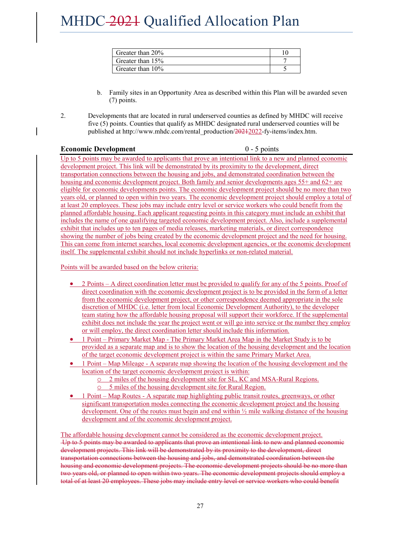| Greater than $20\%$ |  |
|---------------------|--|
| Greater than 15%    |  |
| Greater than 10%    |  |

- b. Family sites in an Opportunity Area as described within this Plan will be awarded seven (7) points.
- 2. Developments that are located in rural underserved counties as defined by MHDC will receive five (5) points. Counties that qualify as MHDC designated rural underserved counties will be published at http://www.mhdc.com/rental\_production/20212022-fy-items/index.htm.

#### **Economic Development** 0 - 5 points

Up to 5 points may be awarded to applicants that prove an intentional link to a new and planned economic development project. This link will be demonstrated by its proximity to the development, direct transportation connections between the housing and jobs, and demonstrated coordination between the housing and economic development project. Both family and senior developments ages 55+ and 62+ are eligible for economic developments points. The economic development project should be no more than two years old, or planned to open within two years. The economic development project should employ a total of at least 20 employees. These jobs may include entry level or service workers who could benefit from the planned affordable housing. Each applicant requesting points in this category must include an exhibit that includes the name of one qualifying targeted economic development project. Also, include a supplemental exhibit that includes up to ten pages of media releases, marketing materials, or direct correspondence showing the number of jobs being created by the economic development project and the need for housing. This can come from internet searches, local economic development agencies, or the economic development itself. The supplemental exhibit should not include hyperlinks or non-related material.

Points will be awarded based on the below criteria:

- 2 Points A direct coordination letter must be provided to qualify for any of the 5 points. Proof of direct coordination with the economic development project is to be provided in the form of a letter from the economic development project, or other correspondence deemed appropriate in the sole discretion of MHDC (i.e. letter from local Economic Development Authority), to the developer team stating how the affordable housing proposal will support their workforce. If the supplemental exhibit does not include the year the project went or will go into service or the number they employ or will employ, the direct coordination letter should include this information.
- 1 Point Primary Market Map The Primary Market Area Map in the Market Study is to be provided as a separate map and is to show the location of the housing development and the location of the target economic development project is within the same Primary Market Area.
- 1 Point Map Mileage A separate map showing the location of the housing development and the location of the target economic development project is within:
	- o 2 miles of the housing development site for SL, KC and MSA-Rural Regions.
	- o 5 miles of the housing development site for Rural Region.
- 1 Point Map Routes A separate map highlighting public transit routes, greenways, or other significant transportation modes connecting the economic development project and the housing development. One of the routes must begin and end within  $\frac{1}{2}$  mile walking distance of the housing development and of the economic development project.

The affordable housing development cannot be considered as the economic development project. Up to 5 points may be awarded to applicants that prove an intentional link to new and planned economic development projects. This link will be demonstrated by its proximity to the development, direct transportation connections between the housing and jobs, and demonstrated coordination between the housing and economic development projects. The economic development projects should be no more than two years old, or planned to open within two years. The economic development projects should employ a total of at least 20 employees. These jobs may include entry level or service workers who could benefit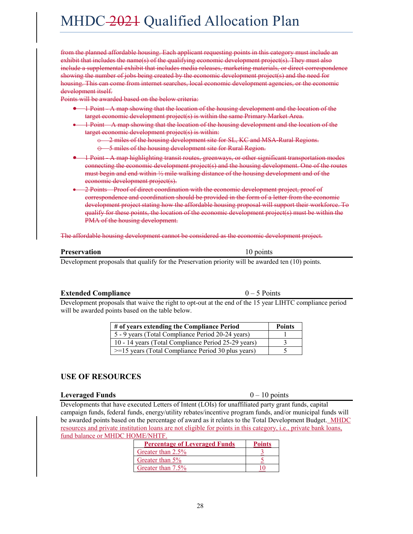28

# MHDC-2021 Qualified Allocation Plan

from the planned affordable housing. Each applicant requesting points in this category must include an exhibit that includes the name(s) of the qualifying economic development project(s). They must also include a supplemental exhibit that includes media releases, marketing materials, or direct correspondence showing the number of jobs being created by the economic development project(s) and the need for housing. This can come from internet searches, local economic development agencies, or the economic development itself.

Points will be awarded based on the below criteria:

- 1 Point A map showing that the location of the housing development and the location of the target economic development project(s) is within the same Primary Market Area.
- 1 Point A map showing that the location of the housing development and the location of the target economic development project(s) is within:
	- 2 miles of the housing development site for SL, KC and MSA-Rural Regions.
	- -5 miles of the housing development site for Rural Region.
- 1 Point A map highlighting transit routes, greenways, or other significant transportation modes connecting the economic development project(s) and the housing development. One of the routes must begin and end within ½ mile walking distance of the housing development and of the economic development project(s).
- 2 Points Proof of direct coordination with the economic development project, proof of correspondence and coordination should be provided in the form of a letter from the economic development project stating how the affordable housing proposal will support their workforce. To qualify for these points, the location of the economic development project(s) must be within the PMA of the housing development.

The affordable housing development cannot be considered as the economic development project.

### **Preservation** 10 points

Development proposals that qualify for the Preservation priority will be awarded ten (10) points.

### **Extended Compliance** 0 – 5 Points

Development proposals that waive the right to opt-out at the end of the 15 year LIHTC compliance period will be awarded points based on the table below.

| # of years extending the Compliance Period              | <b>Points</b> |
|---------------------------------------------------------|---------------|
| 5 - 9 years (Total Compliance Period 20-24 years)       |               |
| 10 - 14 years (Total Compliance Period 25-29 years)     |               |
| $\ge$ =15 years (Total Compliance Period 30 plus years) |               |

### **USE OF RESOURCES**

#### **Leveraged Funds** 6 – 10 points

Developments that have executed Letters of Intent (LOIs) for unaffiliated party grant funds, capital campaign funds, federal funds, energy/utility rebates/incentive program funds, and/or municipal funds will be awarded points based on the percentage of award as it relates to the Total Development Budget. MHDC resources and private institution loans are not eligible for points in this category, i.e., private bank loans, fund balance or MHDC HOME/NHTF.

| <b>Percentage of Leveraged Funds</b> | <b>Points</b> |
|--------------------------------------|---------------|
| Greater than 2.5%                    |               |
| Greater than 5%                      |               |
| Greater than 7.5%                    |               |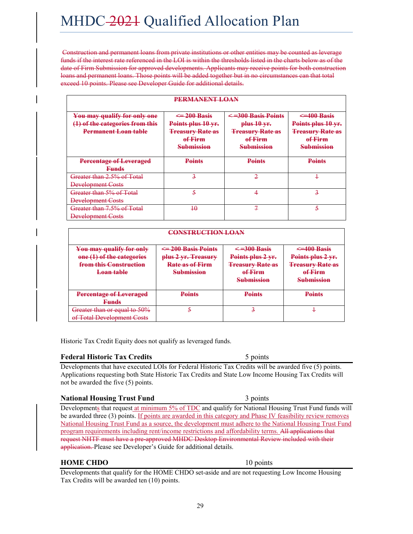Construction and permanent loans from private institutions or other entities may be counted as leverage funds if the interest rate referenced in the LOI is within the thresholds listed in the charts below as of the date of Firm Submission for approved developments. Applicants may receive points for both construction loans and permanent loans. Those points will be added together but in no circumstances can that total exceed 10 points. Please see Developer Guide for additional details.

| PERMANENT LOAN                                                                                 |                                                                                                   |                                                                                                      |                                                                                                   |
|------------------------------------------------------------------------------------------------|---------------------------------------------------------------------------------------------------|------------------------------------------------------------------------------------------------------|---------------------------------------------------------------------------------------------------|
| You may qualify for only one<br>(1) of the categories from this<br><b>Permanent Loan table</b> | $\leq$ 200 Basis<br>Points plus 10 yr.<br><b>Treasury Rate as</b><br>of Firm<br><b>Submission</b> | $\leq$ =300 Basis Points<br>$plus 10$ yr.<br><b>Treasury Rate as</b><br>of Firm<br><b>Submission</b> | $\leq$ 400 Basis<br>Points plus 10 yr.<br><b>Treasury Rate as</b><br>of Firm<br><b>Submission</b> |
| <b>Percentage of Leveraged</b><br><del>Funds</del>                                             | <b>Points</b>                                                                                     | Points                                                                                               | <b>Points</b>                                                                                     |
| Greater than 2.5% of Total<br><b>Development Costs</b>                                         | 3                                                                                                 |                                                                                                      | ٠                                                                                                 |
| Greater than 5% of Total<br><b>Development Costs</b>                                           | 4                                                                                                 |                                                                                                      | 3                                                                                                 |
| Greater than 7.5% of Total<br><b>Development Costs</b>                                         | 40                                                                                                | 7                                                                                                    | 5                                                                                                 |

| <b>CONSTRUCTION LOAN</b>                                                                                 |                                                                                               |                                                                                                   |                                                                                                      |  |
|----------------------------------------------------------------------------------------------------------|-----------------------------------------------------------------------------------------------|---------------------------------------------------------------------------------------------------|------------------------------------------------------------------------------------------------------|--|
| You may qualify for only<br>one (1) of the categories<br>from this Construction<br><del>Loan table</del> | $\leq$ 200 Basis Points<br>plus 2 yr. Treasury<br><b>Rate as of Firm</b><br><b>Submission</b> | $\leq$ =300 Basis<br>Points plus 2 yr.<br><b>Treasury Rate as</b><br>of Firm<br><b>Submission</b> | $\leq$ 400 Basis<br>Points plus 2 yr.<br><del>Treasury Rate as</del><br>of Firm<br><b>Submission</b> |  |
| <b>Percentage of Leveraged</b><br><b>Funds</b>                                                           | <b>Points</b>                                                                                 | <b>Points</b>                                                                                     | <b>Points</b>                                                                                        |  |
| Greater than or equal to 50%<br><del>of Total Development Costs</del>                                    |                                                                                               |                                                                                                   |                                                                                                      |  |

Historic Tax Credit Equity does not qualify as leveraged funds.

# **Federal Historic Tax Credits** 5 points

Developments that have executed LOIs for Federal Historic Tax Credits will be awarded five (5) points. Applications requesting both State Historic Tax Credits and State Low Income Housing Tax Credits will not be awarded the five (5) points.

### **National Housing Trust Fund** 3 points

Developments that request at minimum 5% of TDC and qualify for National Housing Trust Fund funds will be awarded three (3) points. If points are awarded in this category and Phase IV feasibility review removes National Housing Trust Fund as a source, the development must adhere to the National Housing Trust Fund program requirements including rent/income restrictions and affordability terms. All applications that request NHTF must have a pre-approved MHDC Desktop Environmental Review included with their application. Please see Developer's Guide for additional details.

### **HOME CHDO** 10 points

Developments that qualify for the HOME CHDO set-aside and are not requesting Low Income Housing Tax Credits will be awarded ten (10) points.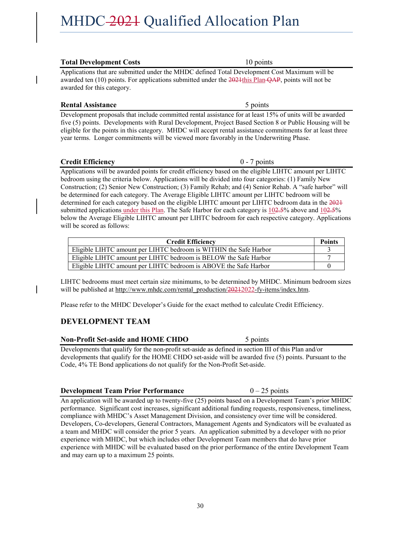#### **Total Development Costs** 10 points

Applications that are submitted under the MHDC defined Total Development Cost Maximum will be awarded ten  $(10)$  points. For applications submitted under the  $2021$ this Plan- $\overline{OAP}$ , points will not be awarded for this category.

#### **Rental Assistance** 5 points

Development proposals that include committed rental assistance for at least 15% of units will be awarded five (5) points. Developments with Rural Development, Project Based Section 8 or Public Housing will be eligible for the points in this category. MHDC will accept rental assistance commitments for at least three year terms. Longer commitments will be viewed more favorably in the Underwriting Phase.

### **Credit Efficiency** 0 - 7 points

Applications will be awarded points for credit efficiency based on the eligible LIHTC amount per LIHTC bedroom using the criteria below. Applications will be divided into four categories: (1) Family New Construction; (2) Senior New Construction; (3) Family Rehab; and (4) Senior Rehab. A "safe harbor" will be determined for each category. The Average Eligible LIHTC amount per LIHTC bedroom will be determined for each category based on the eligible LIHTC amount per LIHTC bedroom data in the 2021 submitted applications under this Plan. The Safe Harbor for each category is  $102.5\%$  above and  $102.5\%$ below the Average Eligible LIHTC amount per LIHTC bedroom for each respective category. Applications will be scored as follows:

| <b>Credit Efficiency</b>                                          |  |
|-------------------------------------------------------------------|--|
| Eligible LIHTC amount per LIHTC bedroom is WITHIN the Safe Harbor |  |
| Eligible LIHTC amount per LIHTC bedroom is BELOW the Safe Harbor  |  |
| Eligible LIHTC amount per LIHTC bedroom is ABOVE the Safe Harbor  |  |

LIHTC bedrooms must meet certain size minimums, to be determined by MHDC. Minimum bedroom sizes will be published at http://www.mhdc.com/rental\_production/20212022-fy-items/index.htm.

Please refer to the MHDC Developer's Guide for the exact method to calculate Credit Efficiency.

### **DEVELOPMENT TEAM**

### **Non-Profit Set-aside and HOME CHDO** 5 points

Developments that qualify for the non-profit set-aside as defined in section III of this Plan and/or developments that qualify for the HOME CHDO set-aside will be awarded five (5) points. Pursuant to the Code, 4% TE Bond applications do not qualify for the Non-Profit Set-aside.

### **Development Team Prior Performance** 0 – 25 points

An application will be awarded up to twenty-five (25) points based on a Development Team's prior MHDC performance. Significant cost increases, significant additional funding requests, responsiveness, timeliness, compliance with MHDC's Asset Management Division, and consistency over time will be considered. Developers, Co-developers, General Contractors, Management Agents and Syndicators will be evaluated as a team and MHDC will consider the prior 5 years. An application submitted by a developer with no prior experience with MHDC, but which includes other Development Team members that do have prior experience with MHDC will be evaluated based on the prior performance of the entire Development Team and may earn up to a maximum 25 points.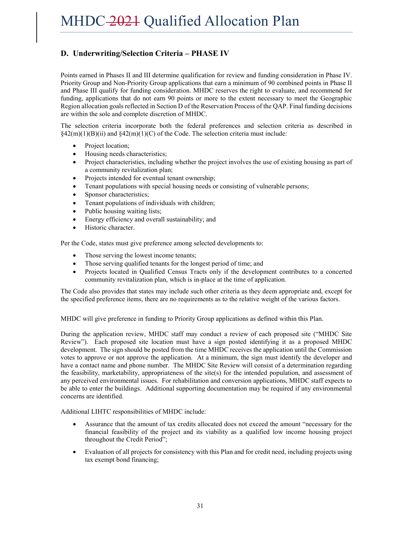## **D. Underwriting/Selection Criteria – PHASE IV**

Points earned in Phases II and III determine qualification for review and funding consideration in Phase IV. Priority Group and Non-Priority Group applications that earn a minimum of 90 combined points in Phase II and Phase III qualify for funding consideration. MHDC reserves the right to evaluate, and recommend for funding, applications that do not earn 90 points or more to the extent necessary to meet the Geographic Region allocation goals reflected in Section D of the Reservation Process of the QAP. Final funding decisions are within the sole and complete discretion of MHDC.

The selection criteria incorporate both the federal preferences and selection criteria as described in  $\S42(m)(1)(B)(ii)$  and  $\S42(m)(1)(C)$  of the Code. The selection criteria must include:

- Project location;
- Housing needs characteristics;
- Project characteristics, including whether the project involves the use of existing housing as part of a community revitalization plan;
- Projects intended for eventual tenant ownership;
- Tenant populations with special housing needs or consisting of vulnerable persons;
- Sponsor characteristics;
- Tenant populations of individuals with children;
- Public housing waiting lists;
- Energy efficiency and overall sustainability; and
- Historic character.

Per the Code, states must give preference among selected developments to:

- Those serving the lowest income tenants;
- Those serving qualified tenants for the longest period of time; and
- Projects located in Qualified Census Tracts only if the development contributes to a concerted community revitalization plan, which is in-place at the time of application.

The Code also provides that states may include such other criteria as they deem appropriate and, except for the specified preference items, there are no requirements as to the relative weight of the various factors.

MHDC will give preference in funding to Priority Group applications as defined within this Plan.

During the application review, MHDC staff may conduct a review of each proposed site ("MHDC Site Review"). Each proposed site location must have a sign posted identifying it as a proposed MHDC development. The sign should be posted from the time MHDC receives the application until the Commission votes to approve or not approve the application. At a minimum, the sign must identify the developer and have a contact name and phone number. The MHDC Site Review will consist of a determination regarding the feasibility, marketability, appropriateness of the site(s) for the intended population, and assessment of any perceived environmental issues. For rehabilitation and conversion applications, MHDC staff expects to be able to enter the buildings. Additional supporting documentation may be required if any environmental concerns are identified.

Additional LIHTC responsibilities of MHDC include:

- Assurance that the amount of tax credits allocated does not exceed the amount "necessary for the financial feasibility of the project and its viability as a qualified low income housing project throughout the Credit Period";
- Evaluation of all projects for consistency with this Plan and for credit need, including projects using tax exempt bond financing;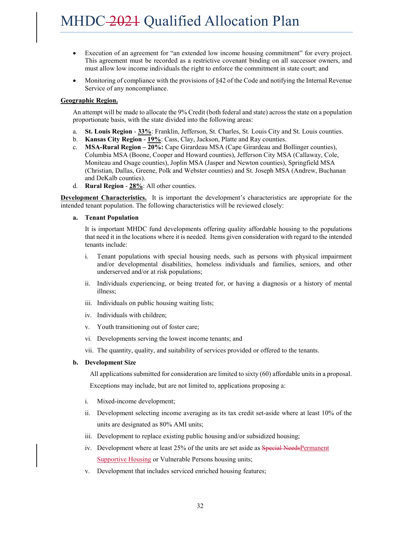- Execution of an agreement for "an extended low income housing commitment" for every project. This agreement must be recorded as a restrictive covenant binding on all successor owners, and must allow low income individuals the right to enforce the commitment in state court; and
- Monitoring of compliance with the provisions of §42 of the Code and notifying the Internal Revenue Service of any noncompliance.

#### **Geographic Region.**

An attempt will be made to allocate the 9% Credit (both federal and state) across the state on a population proportionate basis, with the state divided into the following areas:

- a. **St. Louis Region 33%**: Franklin, Jefferson, St. Charles, St. Louis City and St. Louis counties.
- b. **Kansas City Region 19%**: Cass, Clay, Jackson, Platte and Ray counties.
- c. **MSA-Rural Region – 20%:** Cape Girardeau MSA (Cape Girardeau and Bollinger counties), Columbia MSA (Boone, Cooper and Howard counties), Jefferson City MSA (Callaway, Cole, Moniteau and Osage counties), Joplin MSA (Jasper and Newton counties), Springfield MSA (Christian, Dallas, Greene, Polk and Webster counties) and St. Joseph MSA (Andrew, Buchanan and DeKalb counties).
- d. **Rural Region 28%**: All other counties.

**Development Characteristics.** It is important the development's characteristics are appropriate for the intended tenant population. The following characteristics will be reviewed closely:

#### **a. Tenant Population**

It is important MHDC fund developments offering quality affordable housing to the populations that need it in the locations where it is needed. Items given consideration with regard to the intended tenants include:

- i. Tenant populations with special housing needs, such as persons with physical impairment and/or developmental disabilities, homeless individuals and families, seniors, and other underserved and/or at risk populations;
- ii. Individuals experiencing, or being treated for, or having a diagnosis or a history of mental illness;
- iii. Individuals on public housing waiting lists;
- iv. Individuals with children;
- v. Youth transitioning out of foster care;
- vi. Developments serving the lowest income tenants; and
- vii. The quantity, quality, and suitability of services provided or offered to the tenants.

#### **b. Development Size**

All applications submitted for consideration are limited to sixty (60) affordable units in a proposal.

Exceptions may include, but are not limited to, applications proposing a:

- i. Mixed-income development;
- ii. Development selecting income averaging as its tax credit set-aside where at least 10% of the units are designated as 80% AMI units;
- iii. Development to replace existing public housing and/or subsidized housing;
- iv. Development where at least 25% of the units are set aside as **Special NeedsPermanent** Supportive Housing or Vulnerable Persons housing units;
- v. Development that includes serviced enriched housing features;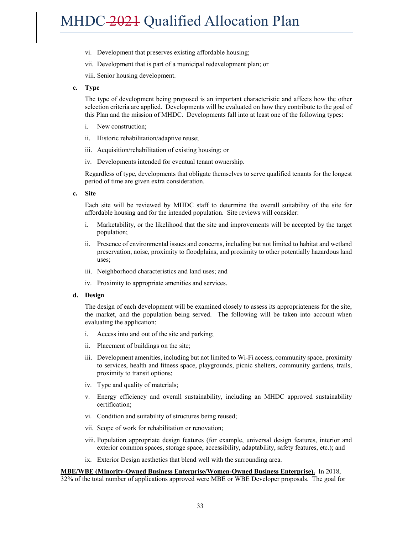- vi. Development that preserves existing affordable housing;
- vii. Development that is part of a municipal redevelopment plan; or

viii. Senior housing development.

**c. Type**

The type of development being proposed is an important characteristic and affects how the other selection criteria are applied. Developments will be evaluated on how they contribute to the goal of this Plan and the mission of MHDC. Developments fall into at least one of the following types:

- i. New construction;
- ii. Historic rehabilitation/adaptive reuse;
- iii. Acquisition/rehabilitation of existing housing; or
- iv. Developments intended for eventual tenant ownership.

Regardless of type, developments that obligate themselves to serve qualified tenants for the longest period of time are given extra consideration.

**c. Site** 

Each site will be reviewed by MHDC staff to determine the overall suitability of the site for affordable housing and for the intended population. Site reviews will consider:

- i. Marketability, or the likelihood that the site and improvements will be accepted by the target population;
- ii. Presence of environmental issues and concerns, including but not limited to habitat and wetland preservation, noise, proximity to floodplains, and proximity to other potentially hazardous land uses;
- iii. Neighborhood characteristics and land uses; and
- iv. Proximity to appropriate amenities and services.

#### **d. Design**

The design of each development will be examined closely to assess its appropriateness for the site, the market, and the population being served. The following will be taken into account when evaluating the application:

- i. Access into and out of the site and parking;
- ii. Placement of buildings on the site;
- iii. Development amenities, including but not limited to Wi-Fi access, community space, proximity to services, health and fitness space, playgrounds, picnic shelters, community gardens, trails, proximity to transit options;
- iv. Type and quality of materials;
- v. Energy efficiency and overall sustainability, including an MHDC approved sustainability certification;
- vi. Condition and suitability of structures being reused;
- vii. Scope of work for rehabilitation or renovation;
- viii. Population appropriate design features (for example, universal design features, interior and exterior common spaces, storage space, accessibility, adaptability, safety features, etc.); and
- ix. Exterior Design aesthetics that blend well with the surrounding area.

**MBE/WBE (Minority-Owned Business Enterprise/Women-Owned Business Enterprise).** In 2018, 32% of the total number of applications approved were MBE or WBE Developer proposals. The goal for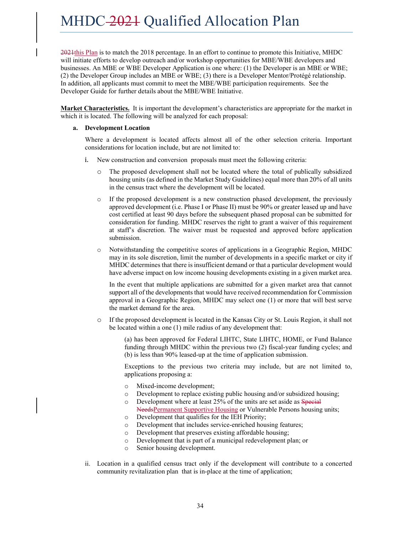2021this Plan is to match the 2018 percentage. In an effort to continue to promote this Initiative, MHDC will initiate efforts to develop outreach and/or workshop opportunities for MBE/WBE developers and businesses. An MBE or WBE Developer Application is one where: (1) the Developer is an MBE or WBE; (2) the Developer Group includes an MBE or WBE; (3) there is a Developer Mentor/Protégé relationship. In addition, all applicants must commit to meet the MBE/WBE participation requirements. See the Developer Guide for further details about the MBE/WBE Initiative.

**Market Characteristics.** It is important the development's characteristics are appropriate for the market in which it is located. The following will be analyzed for each proposal:

#### **a. Development Location**

Where a development is located affects almost all of the other selection criteria. Important considerations for location include, but are not limited to:

- i. New construction and conversion proposals must meet the following criteria:
	- o The proposed development shall not be located where the total of publically subsidized housing units (as defined in the Market Study Guidelines) equal more than 20% of all units in the census tract where the development will be located.
	- o If the proposed development is a new construction phased development, the previously approved development (i.e. Phase I or Phase II) must be 90% or greater leased up and have cost certified at least 90 days before the subsequent phased proposal can be submitted for consideration for funding. MHDC reserves the right to grant a waiver of this requirement at staff's discretion. The waiver must be requested and approved before application submission.
	- o Notwithstanding the competitive scores of applications in a Geographic Region, MHDC may in its sole discretion, limit the number of developments in a specific market or city if MHDC determines that there is insufficient demand or that a particular development would have adverse impact on low income housing developments existing in a given market area.

In the event that multiple applications are submitted for a given market area that cannot support all of the developments that would have received recommendation for Commission approval in a Geographic Region, MHDC may select one (1) or more that will best serve the market demand for the area.

o If the proposed development is located in the Kansas City or St. Louis Region, it shall not be located within a one (1) mile radius of any development that:

> (a) has been approved for Federal LIHTC, State LIHTC, HOME, or Fund Balance funding through MHDC within the previous two (2) fiscal-year funding cycles; and (b) is less than 90% leased-up at the time of application submission.

> Exceptions to the previous two criteria may include, but are not limited to, applications proposing a:

- o Mixed-income development;
- o Development to replace existing public housing and/or subsidized housing;
- o Development where at least 25% of the units are set aside as Special NeedsPermanent Supportive Housing or Vulnerable Persons housing units;
- o Development that qualifies for the IEH Priority;
- o Development that includes service-enriched housing features;
- o Development that preserves existing affordable housing;
- o Development that is part of a municipal redevelopment plan; or
- o Senior housing development.
- ii. Location in a qualified census tract only if the development will contribute to a concerted community revitalization plan that is in-place at the time of application;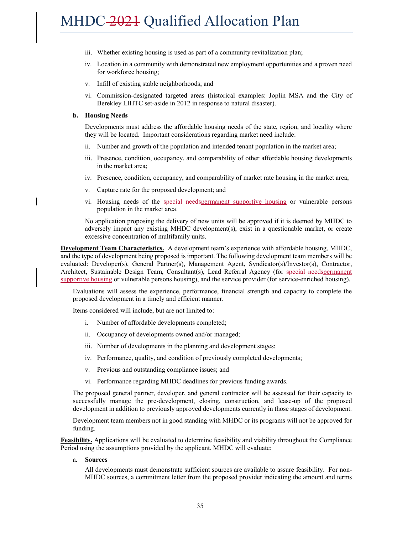- iii. Whether existing housing is used as part of a community revitalization plan;
- iv. Location in a community with demonstrated new employment opportunities and a proven need for workforce housing;
- v. Infill of existing stable neighborhoods; and
- vi. Commission-designated targeted areas (historical examples: Joplin MSA and the City of Berekley LIHTC set-aside in 2012 in response to natural disaster).

#### **b. Housing Needs**

Developments must address the affordable housing needs of the state, region, and locality where they will be located. Important considerations regarding market need include:

- ii. Number and growth of the population and intended tenant population in the market area;
- iii. Presence, condition, occupancy, and comparability of other affordable housing developments in the market area;
- iv. Presence, condition, occupancy, and comparability of market rate housing in the market area;
- v. Capture rate for the proposed development; and
- vi. Housing needs of the special needspermanent supportive housing or vulnerable persons population in the market area.

No application proposing the delivery of new units will be approved if it is deemed by MHDC to adversely impact any existing MHDC development(s), exist in a questionable market, or create excessive concentration of multifamily units.

**Development Team Characteristics.** A development team's experience with affordable housing, MHDC, and the type of development being proposed is important. The following development team members will be evaluated: Developer(s), General Partner(s), Management Agent, Syndicator(s)/Investor(s), Contractor, Architect, Sustainable Design Team, Consultant(s), Lead Referral Agency (for special needspermanent supportive housing or vulnerable persons housing), and the service provider (for service-enriched housing).

Evaluations will assess the experience, performance, financial strength and capacity to complete the proposed development in a timely and efficient manner.

Items considered will include, but are not limited to:

- i. Number of affordable developments completed;
- ii. Occupancy of developments owned and/or managed;
- iii. Number of developments in the planning and development stages;
- iv. Performance, quality, and condition of previously completed developments;
- v. Previous and outstanding compliance issues; and
- vi. Performance regarding MHDC deadlines for previous funding awards.

The proposed general partner, developer, and general contractor will be assessed for their capacity to successfully manage the pre-development, closing, construction, and lease-up of the proposed development in addition to previously approved developments currently in those stages of development.

Development team members not in good standing with MHDC or its programs will not be approved for funding.

**Feasibility.** Applications will be evaluated to determine feasibility and viability throughout the Compliance Period using the assumptions provided by the applicant. MHDC will evaluate:

a. **Sources** 

All developments must demonstrate sufficient sources are available to assure feasibility. For non-MHDC sources, a commitment letter from the proposed provider indicating the amount and terms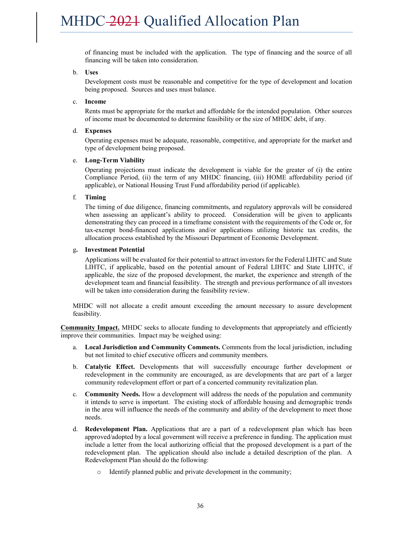of financing must be included with the application. The type of financing and the source of all financing will be taken into consideration.

#### b. **Uses**

Development costs must be reasonable and competitive for the type of development and location being proposed. Sources and uses must balance.

#### c. **Income**

Rents must be appropriate for the market and affordable for the intended population. Other sources of income must be documented to determine feasibility or the size of MHDC debt, if any.

#### d. **Expenses**

Operating expenses must be adequate, reasonable, competitive, and appropriate for the market and type of development being proposed.

#### e. **Long-Term Viability**

Operating projections must indicate the development is viable for the greater of (i) the entire Compliance Period, (ii) the term of any MHDC financing, (iii) HOME affordability period (if applicable), or National Housing Trust Fund affordability period (if applicable).

#### f. **Timing**

The timing of due diligence, financing commitments, and regulatory approvals will be considered when assessing an applicant's ability to proceed. Consideration will be given to applicants demonstrating they can proceed in a timeframe consistent with the requirements of the Code or, for tax-exempt bond-financed applications and/or applications utilizing historic tax credits, the allocation process established by the Missouri Department of Economic Development.

#### g**. Investment Potential**

Applications will be evaluated for their potential to attract investors for the Federal LIHTC and State LIHTC, if applicable, based on the potential amount of Federal LIHTC and State LIHTC, if applicable, the size of the proposed development, the market, the experience and strength of the development team and financial feasibility. The strength and previous performance of all investors will be taken into consideration during the feasibility review.

MHDC will not allocate a credit amount exceeding the amount necessary to assure development feasibility.

**Community Impact.** MHDC seeks to allocate funding to developments that appropriately and efficiently improve their communities. Impact may be weighed using:

- a. **Local Jurisdiction and Community Comments.** Comments from the local jurisdiction, including but not limited to chief executive officers and community members.
- b. **Catalytic Effect.** Developments that will successfully encourage further development or redevelopment in the community are encouraged, as are developments that are part of a larger community redevelopment effort or part of a concerted community revitalization plan.
- c. **Community Needs.** How a development will address the needs of the population and community it intends to serve is important. The existing stock of affordable housing and demographic trends in the area will influence the needs of the community and ability of the development to meet those needs.
- d. **Redevelopment Plan.** Applications that are a part of a redevelopment plan which has been approved/adopted by a local government will receive a preference in funding. The application must include a letter from the local authorizing official that the proposed development is a part of the redevelopment plan. The application should also include a detailed description of the plan. A Redevelopment Plan should do the following:
	- o Identify planned public and private development in the community;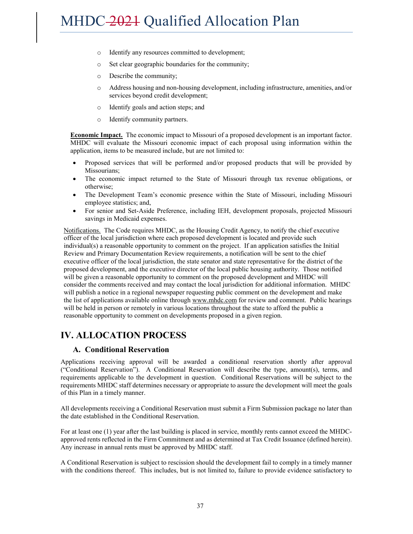- o Identify any resources committed to development;
- o Set clear geographic boundaries for the community;
- o Describe the community;
- o Address housing and non-housing development, including infrastructure, amenities, and/or services beyond credit development;
- o Identify goals and action steps; and
- o Identify community partners.

**Economic Impact.** The economic impact to Missouri of a proposed development is an important factor. MHDC will evaluate the Missouri economic impact of each proposal using information within the application, items to be measured include, but are not limited to:

- Proposed services that will be performed and/or proposed products that will be provided by Missourians;
- The economic impact returned to the State of Missouri through tax revenue obligations, or otherwise;
- The Development Team's economic presence within the State of Missouri, including Missouri employee statistics; and,
- For senior and Set-Aside Preference, including IEH, development proposals, projected Missouri savings in Medicaid expenses.

Notifications. The Code requires MHDC, as the Housing Credit Agency, to notify the chief executive officer of the local jurisdiction where each proposed development is located and provide such individual(s) a reasonable opportunity to comment on the project. If an application satisfies the Initial Review and Primary Documentation Review requirements, a notification will be sent to the chief executive officer of the local jurisdiction, the state senator and state representative for the district of the proposed development, and the executive director of the local public housing authority. Those notified will be given a reasonable opportunity to comment on the proposed development and MHDC will consider the comments received and may contact the local jurisdiction for additional information. MHDC will publish a notice in a regional newspaper requesting public comment on the development and make the list of applications available online through www.mhdc.com for review and comment. Public hearings will be held in person or remotely in various locations throughout the state to afford the public a reasonable opportunity to comment on developments proposed in a given region.

# **IV. ALLOCATION PROCESS**

### **A. Conditional Reservation**

Applications receiving approval will be awarded a conditional reservation shortly after approval ("Conditional Reservation"). A Conditional Reservation will describe the type, amount(s), terms, and requirements applicable to the development in question. Conditional Reservations will be subject to the requirements MHDC staff determines necessary or appropriate to assure the development will meet the goals of this Plan in a timely manner.

All developments receiving a Conditional Reservation must submit a Firm Submission package no later than the date established in the Conditional Reservation.

For at least one (1) year after the last building is placed in service, monthly rents cannot exceed the MHDCapproved rents reflected in the Firm Commitment and as determined at Tax Credit Issuance (defined herein). Any increase in annual rents must be approved by MHDC staff.

A Conditional Reservation is subject to rescission should the development fail to comply in a timely manner with the conditions thereof. This includes, but is not limited to, failure to provide evidence satisfactory to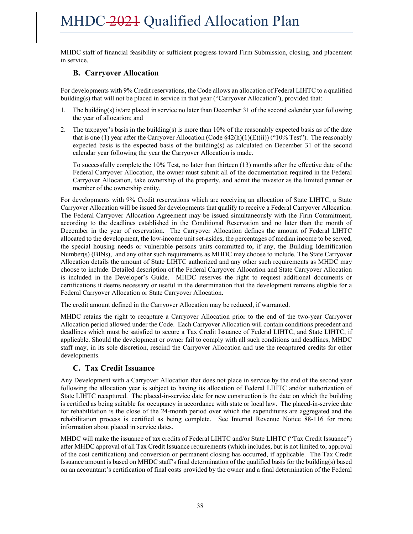MHDC staff of financial feasibility or sufficient progress toward Firm Submission, closing, and placement in service.

### **B. Carryover Allocation**

For developments with 9% Credit reservations, the Code allows an allocation of Federal LIHTC to a qualified building(s) that will not be placed in service in that year ("Carryover Allocation"), provided that:

- 1. The building(s) is/are placed in service no later than December 31 of the second calendar year following the year of allocation; and
- 2. The taxpayer's basis in the building(s) is more than 10% of the reasonably expected basis as of the date that is one (1) year after the Carryover Allocation (Code  $\S42(h)(1)(E)(ii)$ ) ("10% Test"). The reasonably expected basis is the expected basis of the building(s) as calculated on December 31 of the second calendar year following the year the Carryover Allocation is made.

To successfully complete the 10% Test, no later than thirteen (13) months after the effective date of the Federal Carryover Allocation, the owner must submit all of the documentation required in the Federal Carryover Allocation, take ownership of the property, and admit the investor as the limited partner or member of the ownership entity.

For developments with 9% Credit reservations which are receiving an allocation of State LIHTC, a State Carryover Allocation will be issued for developments that qualify to receive a Federal Carryover Allocation. The Federal Carryover Allocation Agreement may be issued simultaneously with the Firm Commitment, according to the deadlines established in the Conditional Reservation and no later than the month of December in the year of reservation. The Carryover Allocation defines the amount of Federal LIHTC allocated to the development, the low-income unit set-asides, the percentages of median income to be served, the special housing needs or vulnerable persons units committed to, if any, the Building Identification Number(s) (BINs), and any other such requirements as MHDC may choose to include. The State Carryover Allocation details the amount of State LIHTC authorized and any other such requirements as MHDC may choose to include. Detailed description of the Federal Carryover Allocation and State Carryover Allocation is included in the Developer's Guide. MHDC reserves the right to request additional documents or certifications it deems necessary or useful in the determination that the development remains eligible for a Federal Carryover Allocation or State Carryover Allocation.

The credit amount defined in the Carryover Allocation may be reduced, if warranted.

MHDC retains the right to recapture a Carryover Allocation prior to the end of the two-year Carryover Allocation period allowed under the Code. Each Carryover Allocation will contain conditions precedent and deadlines which must be satisfied to secure a Tax Credit Issuance of Federal LIHTC, and State LIHTC, if applicable. Should the development or owner fail to comply with all such conditions and deadlines, MHDC staff may, in its sole discretion, rescind the Carryover Allocation and use the recaptured credits for other developments.

### **C. Tax Credit Issuance**

Any Development with a Carryover Allocation that does not place in service by the end of the second year following the allocation year is subject to having its allocation of Federal LIHTC and/or authorization of State LIHTC recaptured. The placed-in-service date for new construction is the date on which the building is certified as being suitable for occupancy in accordance with state or local law. The placed-in-service date for rehabilitation is the close of the 24-month period over which the expenditures are aggregated and the rehabilitation process is certified as being complete. See Internal Revenue Notice 88-116 for more information about placed in service dates.

MHDC will make the issuance of tax credits of Federal LIHTC and/or State LIHTC ("Tax Credit Issuance") after MHDC approval of all Tax Credit Issuance requirements (which includes, but is not limited to, approval of the cost certification) and conversion or permanent closing has occurred, if applicable. The Tax Credit Issuance amount is based on MHDC staff's final determination of the qualified basis for the building(s) based on an accountant's certification of final costs provided by the owner and a final determination of the Federal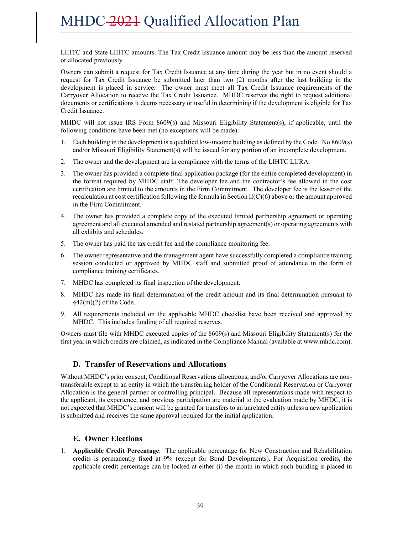LIHTC and State LIHTC amounts. The Tax Credit Issuance amount may be less than the amount reserved or allocated previously.

Owners can submit a request for Tax Credit Issuance at any time during the year but in no event should a request for Tax Credit Issuance be submitted later than two (2) months after the last building in the development is placed in service. The owner must meet all Tax Credit Issuance requirements of the Carryover Allocation to receive the Tax Credit Issuance. MHDC reserves the right to request additional documents or certifications it deems necessary or useful in determining if the development is eligible for Tax Credit Issuance.

MHDC will not issue IRS Form 8609(s) and Missouri Eligibility Statement(s), if applicable, until the following conditions have been met (no exceptions will be made):

- 1. Each building in the development is a qualified low-income building as defined by the Code. No 8609(s) and/or Missouri Eligibility Statement(s) will be issued for any portion of an incomplete development.
- 2. The owner and the development are in compliance with the terms of the LIHTC LURA.
- 3. The owner has provided a complete final application package (for the entire completed development) in the format required by MHDC staff. The developer fee and the contractor's fee allowed in the cost certification are limited to the amounts in the Firm Commitment. The developer fee is the lesser of the recalculation at cost certification following the formula in Section II(C)(6) above or the amount approved in the Firm Commitment.
- 4. The owner has provided a complete copy of the executed limited partnership agreement or operating agreement and all executed amended and restated partnership agreement(s) or operating agreements with all exhibits and schedules.
- 5. The owner has paid the tax credit fee and the compliance monitoring fee.
- 6. The owner representative and the management agent have successfully completed a compliance training session conducted or approved by MHDC staff and submitted proof of attendance in the form of compliance training certificates.
- 7. MHDC has completed its final inspection of the development.
- 8. MHDC has made its final determination of the credit amount and its final determination pursuant to  $§42(m)(2)$  of the Code.
- 9. All requirements included on the applicable MHDC checklist have been received and approved by MHDC. This includes funding of all required reserves.

Owners must file with MHDC executed copies of the 8609(s) and Missouri Eligibility Statement(s) for the first year in which credits are claimed, as indicated in the Compliance Manual (available at www.mhdc.com).

### **D. Transfer of Reservations and Allocations**

Without MHDC's prior consent, Conditional Reservations allocations, and/or Carryover Allocations are nontransferable except to an entity in which the transferring holder of the Conditional Reservation or Carryover Allocation is the general partner or controlling principal. Because all representations made with respect to the applicant, its experience, and previous participation are material to the evaluation made by MHDC, it is not expected that MHDC's consent will be granted for transfers to an unrelated entity unless a new application is submitted and receives the same approval required for the initial application.

### **E. Owner Elections**

1. **Applicable Credit Percentage**. The applicable percentage for New Construction and Rehabilitation credits is permanently fixed at 9% (except for Bond Developments). For Acquisition credits, the applicable credit percentage can be locked at either (i) the month in which such building is placed in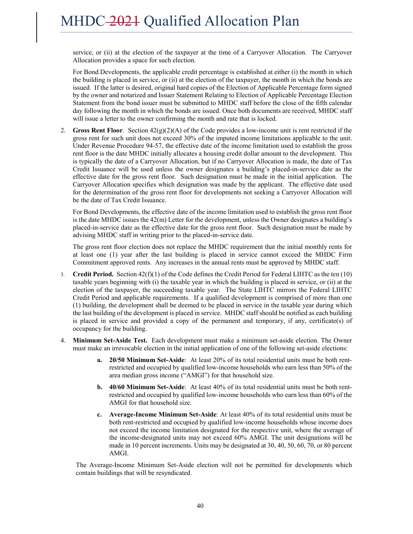service, or (ii) at the election of the taxpayer at the time of a Carryover Allocation. The Carryover Allocation provides a space for such election.

For Bond Developments, the applicable credit percentage is established at either (i) the month in which the building is placed in service, or (ii) at the election of the taxpayer, the month in which the bonds are issued. If the latter is desired, original hard copies of the Election of Applicable Percentage form signed by the owner and notarized and Issuer Statement Relating to Election of Applicable Percentage Election Statement from the bond issuer must be submitted to MHDC staff before the close of the fifth calendar day following the month in which the bonds are issued. Once both documents are received, MHDC staff will issue a letter to the owner confirming the month and rate that is locked.

2. **Gross Rent Floor**. Section 42(g)(2)(A) of the Code provides a low-income unit is rent restricted if the gross rent for such unit does not exceed 30% of the imputed income limitations applicable to the unit. Under Revenue Procedure 94-57, the effective date of the income limitation used to establish the gross rent floor is the date MHDC initially allocates a housing credit dollar amount to the development. This is typically the date of a Carryover Allocation, but if no Carryover Allocation is made, the date of Tax Credit Issuance will be used unless the owner designates a building's placed-in-service date as the effective date for the gross rent floor. Such designation must be made in the initial application. The Carryover Allocation specifies which designation was made by the applicant. The effective date used for the determination of the gross rent floor for developments not seeking a Carryover Allocation will be the date of Tax Credit Issuance.

For Bond Developments, the effective date of the income limitation used to establish the gross rent floor is the date MHDC issues the 42(m) Letter for the development, unless the Owner designates a building's placed-in-service date as the effective date for the gross rent floor. Such designation must be made by advising MHDC staff in writing prior to the placed-in-service date.

The gross rent floor election does not replace the MHDC requirement that the initial monthly rents for at least one (1) year after the last building is placed in service cannot exceed the MHDC Firm Commitment approved rents. Any increases in the annual rents must be approved by MHDC staff.

- 3. **Credit Period.** Section 42(f)(1) of the Code defines the Credit Period for Federal LIHTC as the ten (10) taxable years beginning with (i) the taxable year in which the building is placed in service, or (ii) at the election of the taxpayer, the succeeding taxable year. The State LIHTC mirrors the Federal LIHTC Credit Period and applicable requirements. If a qualified development is comprised of more than one (1) building, the development shall be deemed to be placed in service in the taxable year during which the last building of the development is placed in service. MHDC staff should be notified as each building is placed in service and provided a copy of the permanent and temporary, if any, certificate(s) of occupancy for the building.
- 4. **Minimum Set-Aside Test.** Each development must make a minimum set-aside election. The Owner must make an irrevocable election in the initial application of one of the following set-aside elections:
	- **a. 20/50 Minimum Set-Aside**: At least 20% of its total residential units must be both rentrestricted and occupied by qualified low-income households who earn less than 50% of the area median gross income ("AMGI") for that household size.
	- **b. 40/60 Minimum Set-Aside**: At least 40% of its total residential units must be both rentrestricted and occupied by qualified low-income households who earn less than 60% of the AMGI for that household size.
	- **c. Average-Income Minimum Set-Aside**: At least 40% of its total residential units must be both rent-restricted and occupied by qualified low-income households whose income does not exceed the income limitation designated for the respective unit, where the average of the income-designated units may not exceed 60% AMGI. The unit designations will be made in 10 percent increments. Units may be designated at 30, 40, 50, 60, 70, or 80 percent AMGI.

The Average-Income Minimum Set-Aside election will not be permitted for developments which contain buildings that will be resyndicated.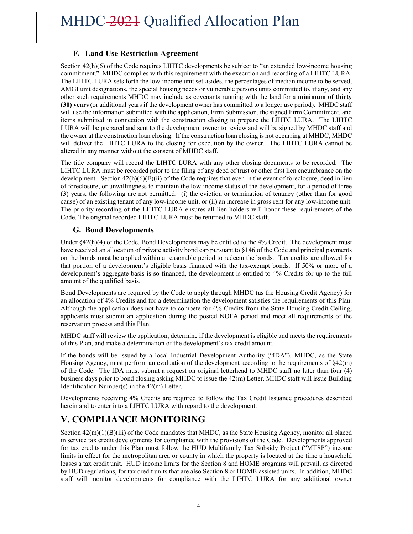### **F. Land Use Restriction Agreement**

Section 42(h)(6) of the Code requires LIHTC developments be subject to "an extended low-income housing commitment." MHDC complies with this requirement with the execution and recording of a LIHTC LURA. The LIHTC LURA sets forth the low-income unit set-asides, the percentages of median income to be served, AMGI unit designations, the special housing needs or vulnerable persons units committed to, if any, and any other such requirements MHDC may include as covenants running with the land for a **minimum of thirty (30) years** (or additional years if the development owner has committed to a longer use period). MHDC staff will use the information submitted with the application, Firm Submission, the signed Firm Commitment, and items submitted in connection with the construction closing to prepare the LIHTC LURA. The LIHTC LURA will be prepared and sent to the development owner to review and will be signed by MHDC staff and the owner at the construction loan closing. If the construction loan closing is not occurring at MHDC, MHDC will deliver the LIHTC LURA to the closing for execution by the owner. The LIHTC LURA cannot be altered in any manner without the consent of MHDC staff.

The title company will record the LIHTC LURA with any other closing documents to be recorded. The LIHTC LURA must be recorded prior to the filing of any deed of trust or other first lien encumbrance on the development. Section  $42(h)(6)(E)(ii)$  of the Code requires that even in the event of foreclosure, deed in lieu of foreclosure, or unwillingness to maintain the low-income status of the development, for a period of three (3) years, the following are not permitted: (i) the eviction or termination of tenancy (other than for good cause) of an existing tenant of any low-income unit, or (ii) an increase in gross rent for any low-income unit. The priority recording of the LIHTC LURA ensures all lien holders will honor these requirements of the Code. The original recorded LIHTC LURA must be returned to MHDC staff.

### **G. Bond Developments**

Under §42(h)(4) of the Code, Bond Developments may be entitled to the 4% Credit. The development must have received an allocation of private activity bond cap pursuant to §146 of the Code and principal payments on the bonds must be applied within a reasonable period to redeem the bonds. Tax credits are allowed for that portion of a development's eligible basis financed with the tax-exempt bonds. If 50% or more of a development's aggregate basis is so financed, the development is entitled to 4% Credits for up to the full amount of the qualified basis.

Bond Developments are required by the Code to apply through MHDC (as the Housing Credit Agency) for an allocation of 4% Credits and for a determination the development satisfies the requirements of this Plan. Although the application does not have to compete for 4% Credits from the State Housing Credit Ceiling, applicants must submit an application during the posted NOFA period and meet all requirements of the reservation process and this Plan.

MHDC staff will review the application, determine if the development is eligible and meets the requirements of this Plan, and make a determination of the development's tax credit amount.

If the bonds will be issued by a local Industrial Development Authority ("IDA"), MHDC, as the State Housing Agency, must perform an evaluation of the development according to the requirements of §42(m) of the Code. The IDA must submit a request on original letterhead to MHDC staff no later than four (4) business days prior to bond closing asking MHDC to issue the 42(m) Letter. MHDC staff will issue Building Identification Number(s) in the 42(m) Letter.

Developments receiving 4% Credits are required to follow the Tax Credit Issuance procedures described herein and to enter into a LIHTC LURA with regard to the development.

# **V. COMPLIANCE MONITORING**

Section  $42(m)(1)(B)(iii)$  of the Code mandates that MHDC, as the State Housing Agency, monitor all placed in service tax credit developments for compliance with the provisions of the Code. Developments approved for tax credits under this Plan must follow the HUD Multifamily Tax Subsidy Project ("MTSP") income limits in effect for the metropolitan area or county in which the property is located at the time a household leases a tax credit unit. HUD income limits for the Section 8 and HOME programs will prevail, as directed by HUD regulations, for tax credit units that are also Section 8 or HOME-assisted units. In addition, MHDC staff will monitor developments for compliance with the LIHTC LURA for any additional owner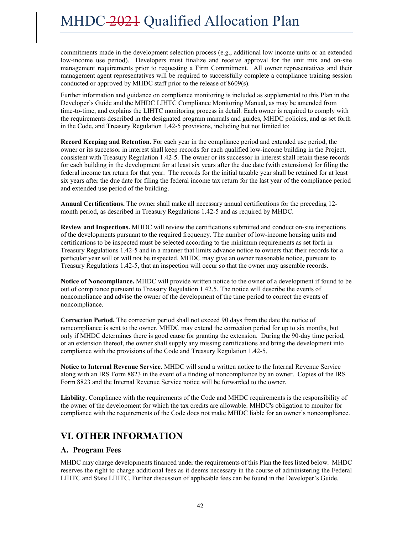commitments made in the development selection process (e.g., additional low income units or an extended low-income use period). Developers must finalize and receive approval for the unit mix and on-site management requirements prior to requesting a Firm Commitment. All owner representatives and their management agent representatives will be required to successfully complete a compliance training session conducted or approved by MHDC staff prior to the release of 8609(s).

Further information and guidance on compliance monitoring is included as supplemental to this Plan in the Developer's Guide and the MHDC LIHTC Compliance Monitoring Manual, as may be amended from time-to-time, and explains the LIHTC monitoring process in detail. Each owner is required to comply with the requirements described in the designated program manuals and guides, MHDC policies, and as set forth in the Code, and Treasury Regulation 1.42-5 provisions, including but not limited to:

**Record Keeping and Retention.** For each year in the compliance period and extended use period, the owner or its successor in interest shall keep records for each qualified low-income building in the Project, consistent with Treasury Regulation 1.42-5. The owner or its successor in interest shall retain these records for each building in the development for at least six years after the due date (with extensions) for filing the federal income tax return for that year. The records for the initial taxable year shall be retained for at least six years after the due date for filing the federal income tax return for the last year of the compliance period and extended use period of the building.

**Annual Certifications.** The owner shall make all necessary annual certifications for the preceding 12 month period, as described in Treasury Regulations 1.42-5 and as required by MHDC.

**Review and Inspections.** MHDC will review the certifications submitted and conduct on-site inspections of the developments pursuant to the required frequency. The number of low-income housing units and certifications to be inspected must be selected according to the minimum requirements as set forth in Treasury Regulations 1.42-5 and in a manner that limits advance notice to owners that their records for a particular year will or will not be inspected. MHDC may give an owner reasonable notice, pursuant to Treasury Regulations 1.42-5, that an inspection will occur so that the owner may assemble records.

**Notice of Noncompliance.** MHDC will provide written notice to the owner of a development if found to be out of compliance pursuant to Treasury Regulation 1.42.5. The notice will describe the events of noncompliance and advise the owner of the development of the time period to correct the events of noncompliance.

**Correction Period.** The correction period shall not exceed 90 days from the date the notice of noncompliance is sent to the owner. MHDC may extend the correction period for up to six months, but only if MHDC determines there is good cause for granting the extension. During the 90-day time period, or an extension thereof, the owner shall supply any missing certifications and bring the development into compliance with the provisions of the Code and Treasury Regulation 1.42-5.

**Notice to Internal Revenue Service.** MHDC will send a written notice to the Internal Revenue Service along with an IRS Form 8823 in the event of a finding of noncompliance by an owner. Copies of the IRS Form 8823 and the Internal Revenue Service notice will be forwarded to the owner.

**Liability.** Compliance with the requirements of the Code and MHDC requirements is the responsibility of the owner of the development for which the tax credits are allowable. MHDC's obligation to monitor for compliance with the requirements of the Code does not make MHDC liable for an owner's noncompliance.

# **VI. OTHER INFORMATION**

### **A. Program Fees**

MHDC may charge developments financed under the requirements of this Plan the fees listed below. MHDC reserves the right to charge additional fees as it deems necessary in the course of administering the Federal LIHTC and State LIHTC. Further discussion of applicable fees can be found in the Developer's Guide.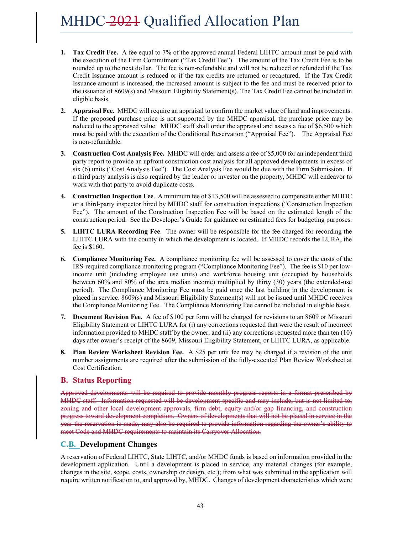- **1. Tax Credit Fee.** A fee equal to 7% of the approved annual Federal LIHTC amount must be paid with the execution of the Firm Commitment ("Tax Credit Fee"). The amount of the Tax Credit Fee is to be rounded up to the next dollar. The fee is non-refundable and will not be reduced or refunded if the Tax Credit Issuance amount is reduced or if the tax credits are returned or recaptured. If the Tax Credit Issuance amount is increased, the increased amount is subject to the fee and must be received prior to the issuance of 8609(s) and Missouri Eligibility Statement(s). The Tax Credit Fee cannot be included in eligible basis.
- **2. Appraisal Fee.** MHDC will require an appraisal to confirm the market value of land and improvements. If the proposed purchase price is not supported by the MHDC appraisal, the purchase price may be reduced to the appraised value. MHDC staff shall order the appraisal and assess a fee of \$6,500 which must be paid with the execution of the Conditional Reservation ("Appraisal Fee"). The Appraisal Fee is non-refundable.
- **3. Construction Cost Analysis Fee.** MHDC will order and assess a fee of \$5,000 for an independent third party report to provide an upfront construction cost analysis for all approved developments in excess of six (6) units ("Cost Analysis Fee"). The Cost Analysis Fee would be due with the Firm Submission. If a third party analysis is also required by the lender or investor on the property, MHDC will endeavor to work with that party to avoid duplicate costs.
- **4. Construction Inspection Fee**. A minimum fee of \$13,500 will be assessed to compensate either MHDC or a third-party inspector hired by MHDC staff for construction inspections ("Construction Inspection Fee"). The amount of the Construction Inspection Fee will be based on the estimated length of the construction period. See the Developer's Guide for guidance on estimated fees for budgeting purposes.
- **5. LIHTC LURA Recording Fee**. The owner will be responsible for the fee charged for recording the LIHTC LURA with the county in which the development is located. If MHDC records the LURA, the fee is \$160.
- **6. Compliance Monitoring Fee.** A compliance monitoring fee will be assessed to cover the costs of the IRS-required compliance monitoring program ("Compliance Monitoring Fee"). The fee is \$10 per lowincome unit (including employee use units) and workforce housing unit (occupied by households between 60% and 80% of the area median income) multiplied by thirty (30) years (the extended-use period). The Compliance Monitoring Fee must be paid once the last building in the development is placed in service. 8609(s) and Missouri Eligibility Statement(s) will not be issued until MHDC receives the Compliance Monitoring Fee. The Compliance Monitoring Fee cannot be included in eligible basis.
- **7. Document Revision Fee.** A fee of \$100 per form will be charged for revisions to an 8609 or Missouri Eligibility Statement or LIHTC LURA for (i) any corrections requested that were the result of incorrect information provided to MHDC staff by the owner, and (ii) any corrections requested more than ten (10) days after owner's receipt of the 8609, Missouri Eligibility Statement, or LIHTC LURA, as applicable.
- **8. Plan Review Worksheet Revision Fee.** A \$25 per unit fee may be charged if a revision of the unit number assignments are required after the submission of the fully-executed Plan Review Worksheet at Cost Certification.

### **B. Status Reporting**

Approved developments will be required to provide monthly progress reports in a format prescribed by MHDC staff. Information requested will be development specific and may include, but is not limited to, zoning and other local development approvals, firm debt, equity and/or gap financing, and construction progress toward development completion. Owners of developments that will not be placed in service in the year the reservation is made, may also be required to provide information regarding the owner's ability to meet Code and MHDC requirements to maintain its Carryover Allocation.

### **C.B. Development Changes**

A reservation of Federal LIHTC, State LIHTC, and/or MHDC funds is based on information provided in the development application. Until a development is placed in service, any material changes (for example, changes in the site, scope, costs, ownership or design, etc.); from what was submitted in the application will require written notification to, and approval by, MHDC. Changes of development characteristics which were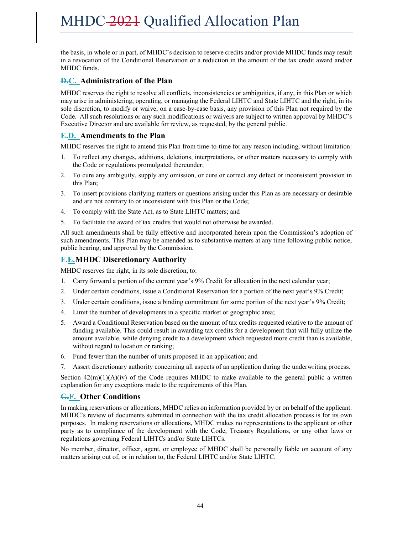the basis, in whole or in part, of MHDC's decision to reserve credits and/or provide MHDC funds may result in a revocation of the Conditional Reservation or a reduction in the amount of the tax credit award and/or MHDC funds.

### **D.C. Administration of the Plan**

MHDC reserves the right to resolve all conflicts, inconsistencies or ambiguities, if any, in this Plan or which may arise in administering, operating, or managing the Federal LIHTC and State LIHTC and the right, in its sole discretion, to modify or waive, on a case-by-case basis, any provision of this Plan not required by the Code. All such resolutions or any such modifications or waivers are subject to written approval by MHDC's Executive Director and are available for review, as requested, by the general public.

### **E.D. Amendments to the Plan**

MHDC reserves the right to amend this Plan from time-to-time for any reason including, without limitation:

- 1. To reflect any changes, additions, deletions, interpretations, or other matters necessary to comply with the Code or regulations promulgated thereunder;
- 2. To cure any ambiguity, supply any omission, or cure or correct any defect or inconsistent provision in this Plan;
- 3. To insert provisions clarifying matters or questions arising under this Plan as are necessary or desirable and are not contrary to or inconsistent with this Plan or the Code;
- 4. To comply with the State Act, as to State LIHTC matters; and
- 5. To facilitate the award of tax credits that would not otherwise be awarded.

All such amendments shall be fully effective and incorporated herein upon the Commission's adoption of such amendments. This Plan may be amended as to substantive matters at any time following public notice, public hearing, and approval by the Commission.

### **F.E.MHDC Discretionary Authority**

MHDC reserves the right, in its sole discretion, to:

- 1. Carry forward a portion of the current year's 9% Credit for allocation in the next calendar year;
- 2. Under certain conditions, issue a Conditional Reservation for a portion of the next year's 9% Credit;
- 3. Under certain conditions, issue a binding commitment for some portion of the next year's 9% Credit;
- 4. Limit the number of developments in a specific market or geographic area;
- 5. Award a Conditional Reservation based on the amount of tax credits requested relative to the amount of funding available. This could result in awarding tax credits for a development that will fully utilize the amount available, while denying credit to a development which requested more credit than is available, without regard to location or ranking;
- 6. Fund fewer than the number of units proposed in an application; and
- 7. Assert discretionary authority concerning all aspects of an application during the underwriting process.

Section  $42(m)(1)(A)(iv)$  of the Code requires MHDC to make available to the general public a written explanation for any exceptions made to the requirements of this Plan.

### **G.F. Other Conditions**

In making reservations or allocations, MHDC relies on information provided by or on behalf of the applicant. MHDC's review of documents submitted in connection with the tax credit allocation process is for its own purposes. In making reservations or allocations, MHDC makes no representations to the applicant or other party as to compliance of the development with the Code, Treasury Regulations, or any other laws or regulations governing Federal LIHTCs and/or State LIHTCs.

No member, director, officer, agent, or employee of MHDC shall be personally liable on account of any matters arising out of, or in relation to, the Federal LIHTC and/or State LIHTC.